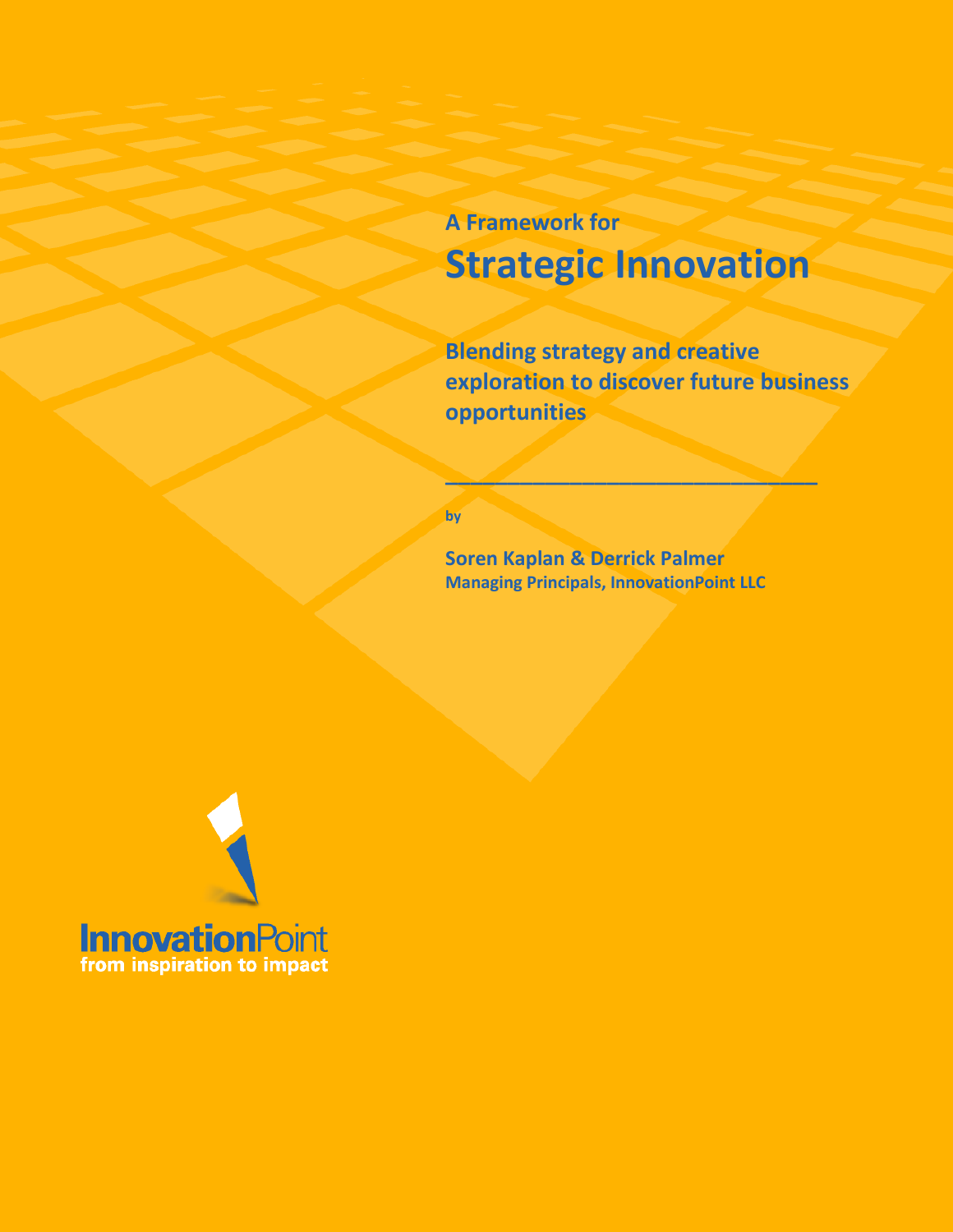# **A Framework for Strategic Innovation**

**Blending strategy and creative exploration to discover future business opportunities**

**\_\_\_\_\_\_\_\_\_\_\_\_\_\_\_\_\_\_\_\_\_\_\_\_\_\_\_\_\_\_**

**by**

**Soren Kaplan & Derrick Palmer Managing Principals, InnovationPoint LLC**

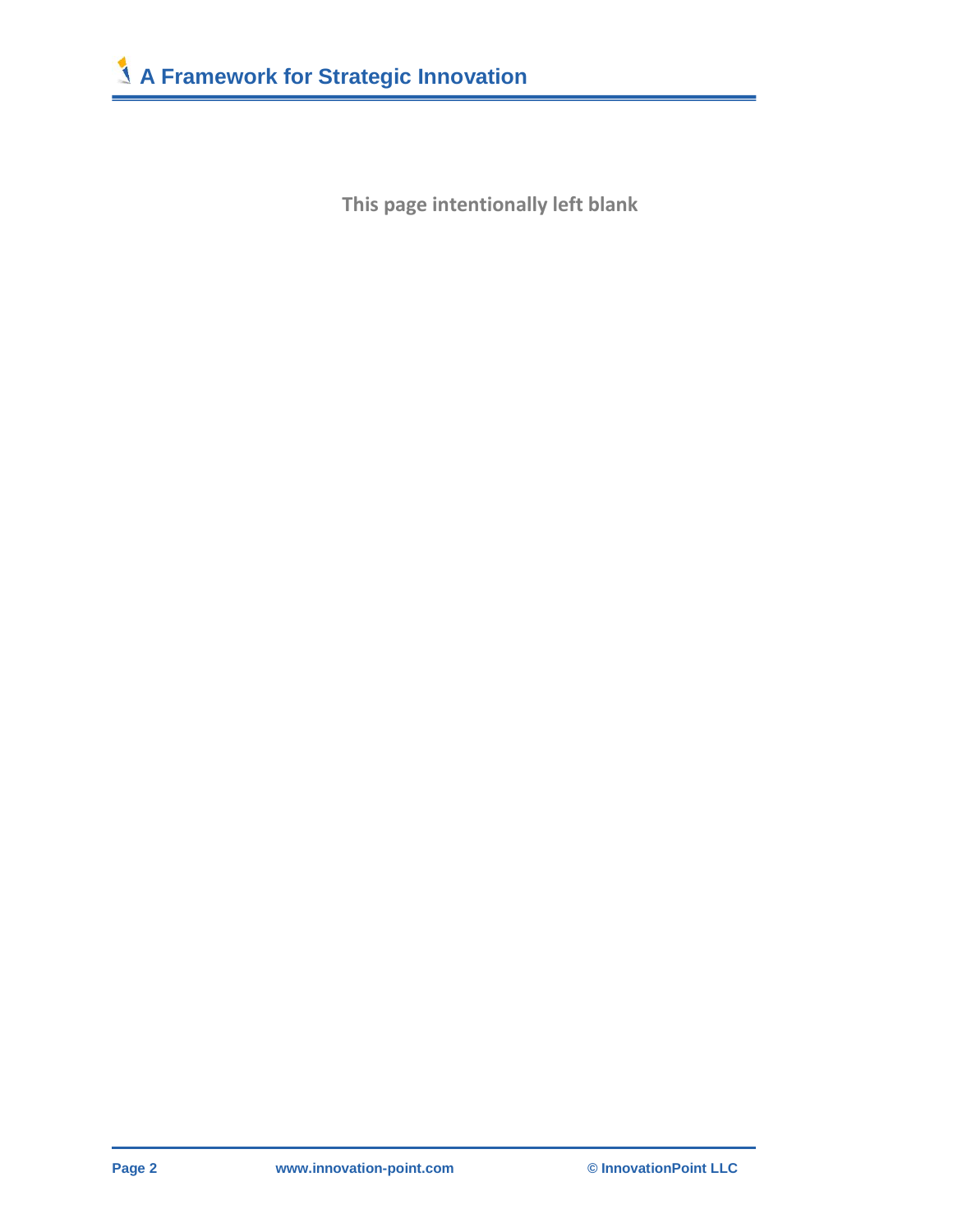**This page intentionally left blank**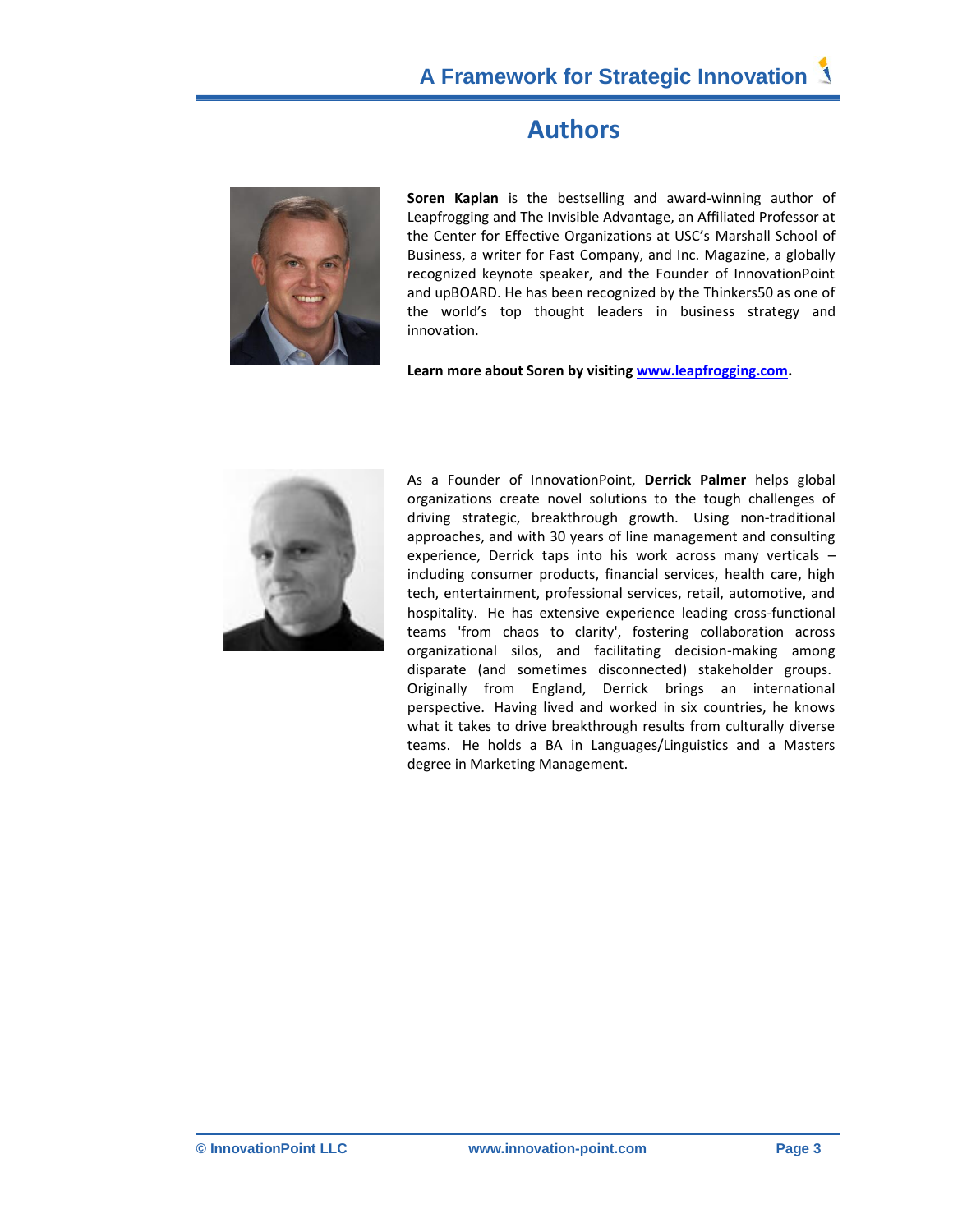### **Authors**



**Soren Kaplan** is the bestselling and award-winning author of Leapfrogging and The Invisible Advantage, an Affiliated Professor at the Center for Effective Organizations at USC's Marshall School of Business, a writer for Fast Company, and Inc. Magazine, a globally recognized keynote speaker, and the Founder of InnovationPoint and upBOARD. He has been recognized by the Thinkers50 as one of the world's top thought leaders in business strategy and innovation.

**Learn more about Soren by visiting [www.leapfrogging.com.](http://www.leapfrogging.com/)** 



As a Founder of InnovationPoint, **Derrick Palmer** helps global organizations create novel solutions to the tough challenges of driving strategic, breakthrough growth. Using non-traditional approaches, and with 30 years of line management and consulting experience, Derrick taps into his work across many verticals – including consumer products, financial services, health care, high tech, entertainment, professional services, retail, automotive, and hospitality. He has extensive experience leading cross-functional teams 'from chaos to clarity', fostering collaboration across organizational silos, and facilitating decision-making among disparate (and sometimes disconnected) stakeholder groups. Originally from England, Derrick brings an international perspective. Having lived and worked in six countries, he knows what it takes to drive breakthrough results from culturally diverse teams. He holds a BA in Languages/Linguistics and a Masters degree in Marketing Management.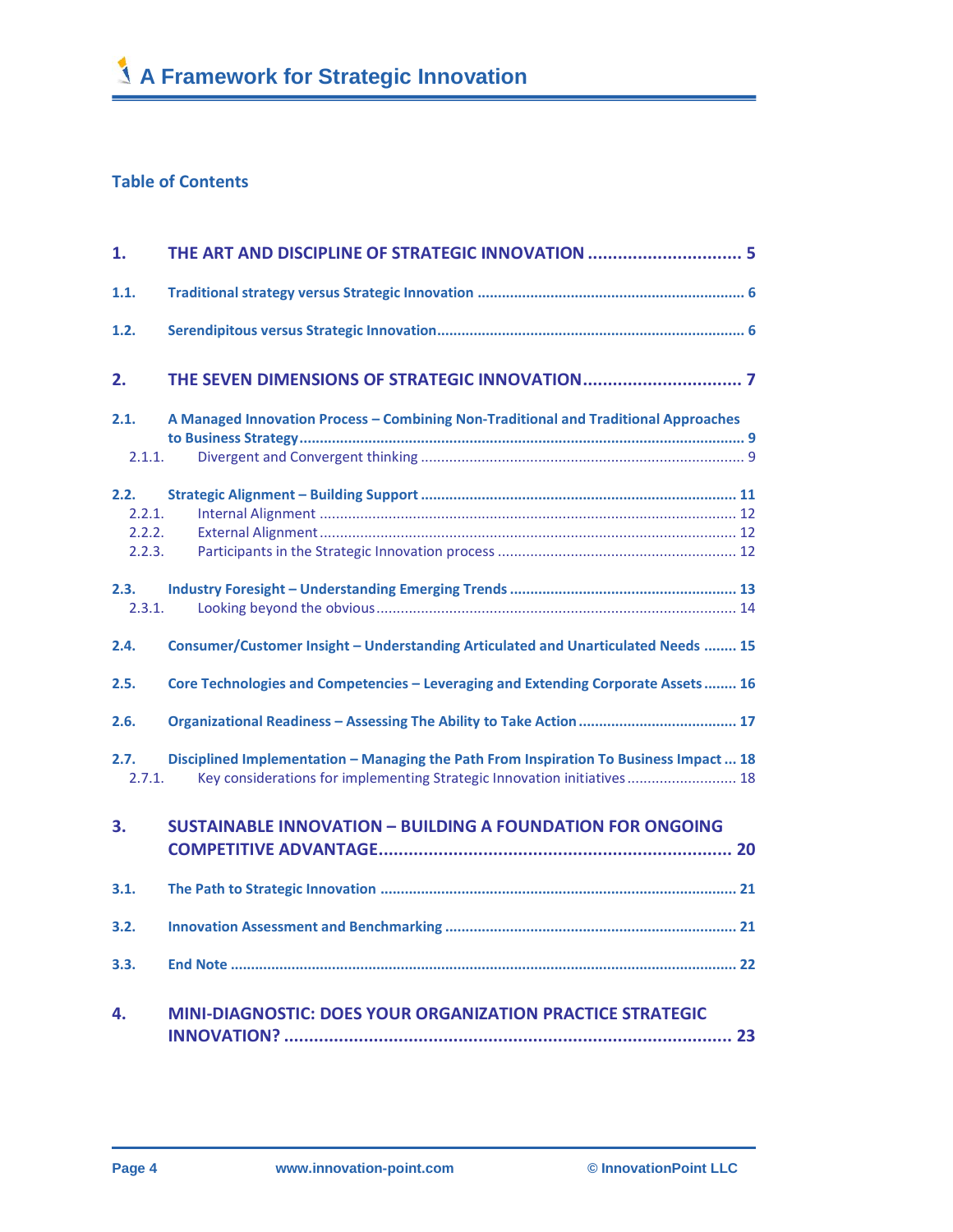### **Table of Contents**

| 1.     | THE ART AND DISCIPLINE OF STRATEGIC INNOVATION  5                                      |
|--------|----------------------------------------------------------------------------------------|
| 1.1.   |                                                                                        |
| 1.2.   |                                                                                        |
| 2.     |                                                                                        |
| 2.1.   | A Managed Innovation Process - Combining Non-Traditional and Traditional Approaches    |
|        |                                                                                        |
| 2.1.1. |                                                                                        |
| 2.2.   |                                                                                        |
| 2.2.1. |                                                                                        |
| 2.2.2. |                                                                                        |
| 2.2.3. |                                                                                        |
| 2.3.   |                                                                                        |
| 2.3.1. |                                                                                        |
|        |                                                                                        |
| 2.4.   | Consumer/Customer Insight - Understanding Articulated and Unarticulated Needs  15      |
| 2.5.   | Core Technologies and Competencies - Leveraging and Extending Corporate Assets  16     |
| 2.6.   |                                                                                        |
| 2.7.   | Disciplined Implementation - Managing the Path From Inspiration To Business Impact  18 |
| 2.7.1. | Key considerations for implementing Strategic Innovation initiatives 18                |
|        |                                                                                        |
| 3.     | <b>SUSTAINABLE INNOVATION - BUILDING A FOUNDATION FOR ONGOING</b>                      |
|        |                                                                                        |
|        |                                                                                        |
| 3.1.   |                                                                                        |
| 3.2.   |                                                                                        |
| 3.3.   |                                                                                        |
|        |                                                                                        |
| 4.     | MINI-DIAGNOSTIC: DOES YOUR ORGANIZATION PRACTICE STRATEGIC                             |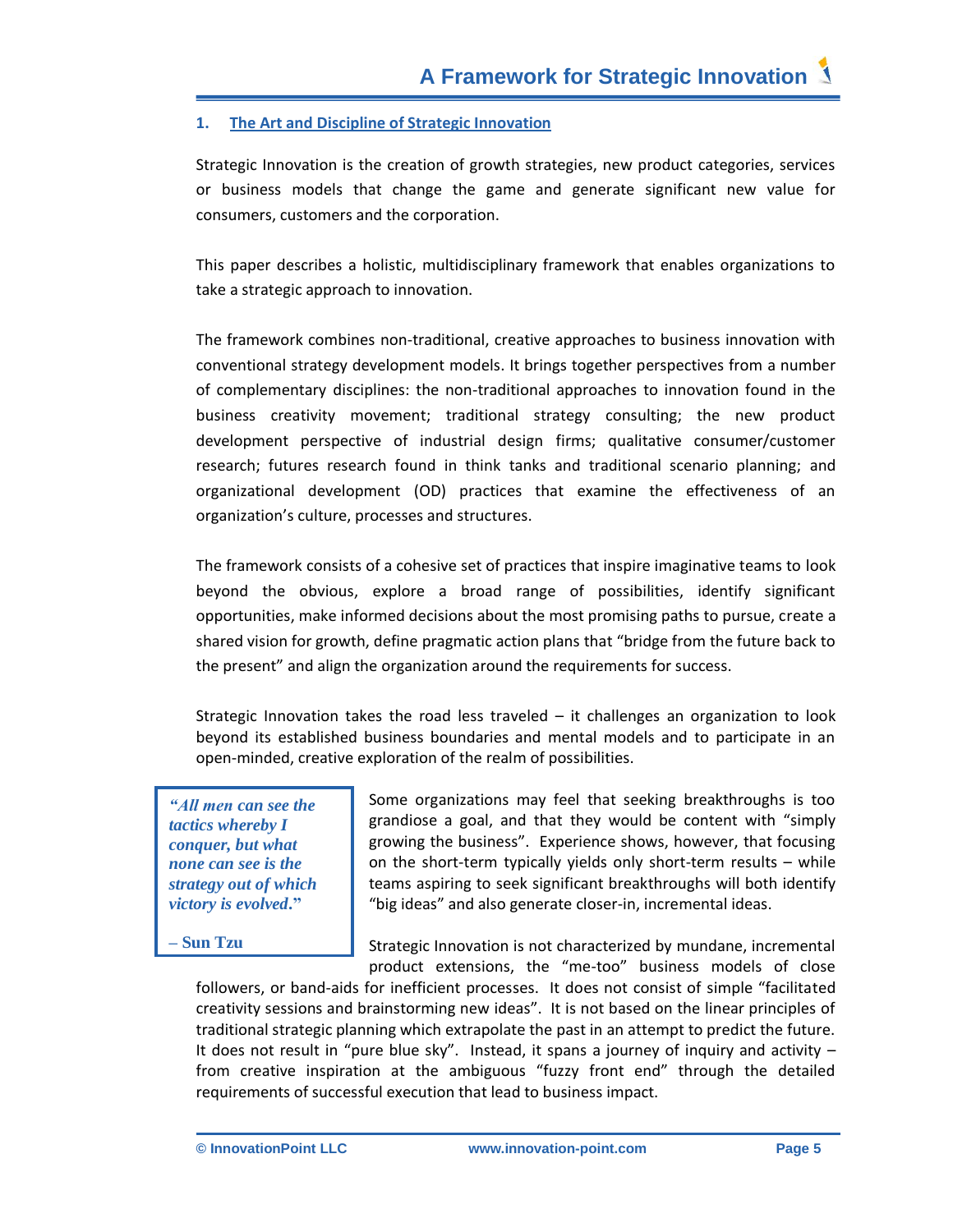#### **1. The Art and Discipline of Strategic Innovation**

Strategic Innovation is the creation of growth strategies, new product categories, services or business models that change the game and generate significant new value for consumers, customers and the corporation.

This paper describes a holistic, multidisciplinary framework that enables organizations to take a strategic approach to innovation.

The framework combines non-traditional, creative approaches to business innovation with conventional strategy development models. It brings together perspectives from a number of complementary disciplines: the non-traditional approaches to innovation found in the business creativity movement; traditional strategy consulting; the new product development perspective of industrial design firms; qualitative consumer/customer research; futures research found in think tanks and traditional scenario planning; and organizational development (OD) practices that examine the effectiveness of an organization's culture, processes and structures.

The framework consists of a cohesive set of practices that inspire imaginative teams to look beyond the obvious, explore a broad range of possibilities, identify significant opportunities, make informed decisions about the most promising paths to pursue, create a shared vision for growth, define pragmatic action plans that "bridge from the future back to the present" and align the organization around the requirements for success.

Strategic Innovation takes the road less traveled  $-$  it challenges an organization to look beyond its established business boundaries and mental models and to participate in an open-minded, creative exploration of the realm of possibilities.

*"All men can see the tactics whereby I conquer, but what none can see is the strategy out of which victory is evolved***."** 

**– Sun Tzu**

Some organizations may feel that seeking breakthroughs is too grandiose a goal, and that they would be content with "simply growing the business". Experience shows, however, that focusing on the short-term typically yields only short-term results – while teams aspiring to seek significant breakthroughs will both identify "big ideas" and also generate closer-in, incremental ideas.

Strategic Innovation is not characterized by mundane, incremental product extensions, the "me-too" business models of close

followers, or band-aids for inefficient processes. It does not consist of simple "facilitated creativity sessions and brainstorming new ideas". It is not based on the linear principles of traditional strategic planning which extrapolate the past in an attempt to predict the future. It does not result in "pure blue sky". Instead, it spans a journey of inquiry and activity  $$ from creative inspiration at the ambiguous "fuzzy front end" through the detailed requirements of successful execution that lead to business impact.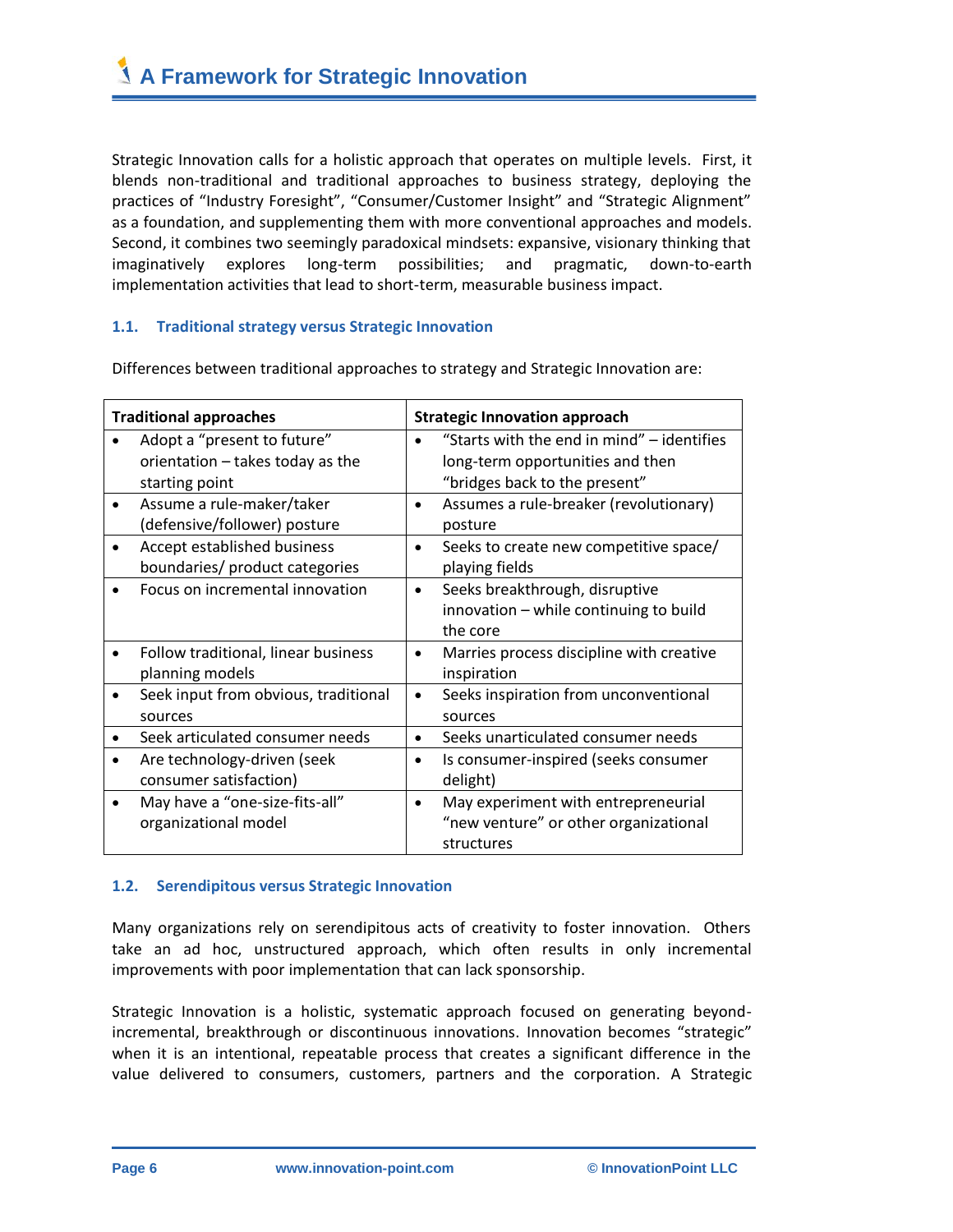Strategic Innovation calls for a holistic approach that operates on multiple levels. First, it blends non-traditional and traditional approaches to business strategy, deploying the practices of "Industry Foresight", "Consumer/Customer Insight" and "Strategic Alignment" as a foundation, and supplementing them with more conventional approaches and models. Second, it combines two seemingly paradoxical mindsets: expansive, visionary thinking that imaginatively explores long-term possibilities; and pragmatic, down-to-earth implementation activities that lead to short-term, measurable business impact.

#### **1.1. Traditional strategy versus Strategic Innovation**

| <b>Traditional approaches</b>        | <b>Strategic Innovation approach</b>                |  |
|--------------------------------------|-----------------------------------------------------|--|
| Adopt a "present to future"          | "Starts with the end in mind" - identifies          |  |
| orientation - takes today as the     | long-term opportunities and then                    |  |
| starting point                       | "bridges back to the present"                       |  |
| Assume a rule-maker/taker            | Assumes a rule-breaker (revolutionary)<br>$\bullet$ |  |
| (defensive/follower) posture         | posture                                             |  |
| Accept established business          | Seeks to create new competitive space/              |  |
| boundaries/ product categories       | playing fields                                      |  |
| Focus on incremental innovation      | Seeks breakthrough, disruptive                      |  |
|                                      | innovation - while continuing to build              |  |
|                                      | the core                                            |  |
| Follow traditional, linear business  | Marries process discipline with creative            |  |
| planning models                      | inspiration                                         |  |
| Seek input from obvious, traditional | Seeks inspiration from unconventional<br>$\bullet$  |  |
| sources                              | sources                                             |  |
| Seek articulated consumer needs      | Seeks unarticulated consumer needs                  |  |
| Are technology-driven (seek          | Is consumer-inspired (seeks consumer                |  |
| consumer satisfaction)               | delight)                                            |  |
| May have a "one-size-fits-all"       | May experiment with entrepreneurial<br>٠            |  |
| organizational model                 | "new venture" or other organizational               |  |
|                                      | structures                                          |  |

Differences between traditional approaches to strategy and Strategic Innovation are:

#### **1.2. Serendipitous versus Strategic Innovation**

Many organizations rely on serendipitous acts of creativity to foster innovation. Others take an ad hoc, unstructured approach, which often results in only incremental improvements with poor implementation that can lack sponsorship.

Strategic Innovation is a holistic, systematic approach focused on generating beyondincremental, breakthrough or discontinuous innovations. Innovation becomes "strategic" when it is an intentional, repeatable process that creates a significant difference in the value delivered to consumers, customers, partners and the corporation. A Strategic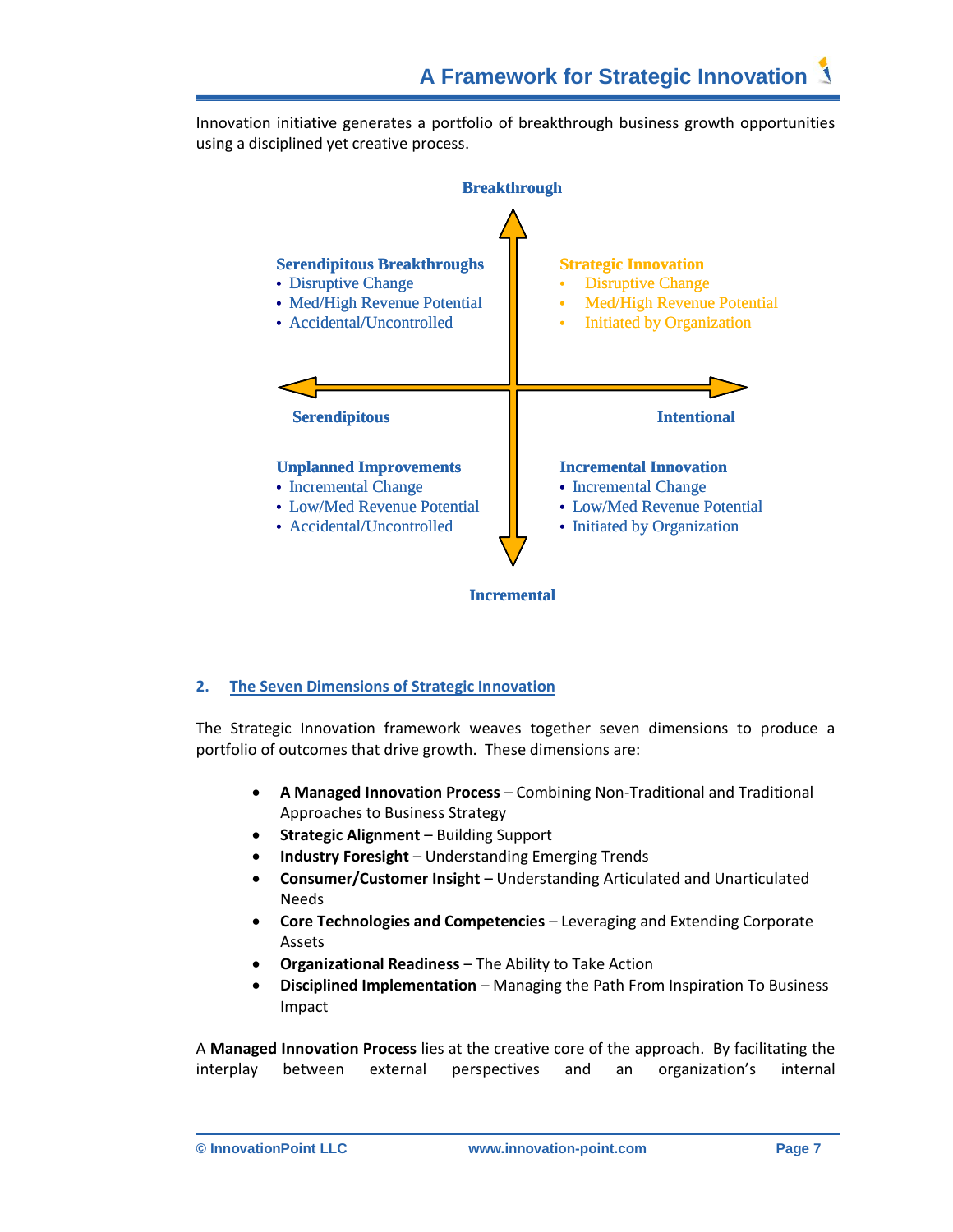Innovation initiative generates a portfolio of breakthrough business growth opportunities using a disciplined yet creative process.



#### **2. The Seven Dimensions of Strategic Innovation**

The Strategic Innovation framework weaves together seven dimensions to produce a portfolio of outcomes that drive growth. These dimensions are:

- **A Managed Innovation Process** Combining Non-Traditional and Traditional Approaches to Business Strategy
- **Strategic Alignment** Building Support
- **Industry Foresight** Understanding Emerging Trends
- **Consumer/Customer Insight** Understanding Articulated and Unarticulated Needs
- **Core Technologies and Competencies**  Leveraging and Extending Corporate Assets
- **Organizational Readiness** The Ability to Take Action
- **Disciplined Implementation** Managing the Path From Inspiration To Business Impact

A **Managed Innovation Process** lies at the creative core of the approach. By facilitating the interplay between external perspectives and an organization's internal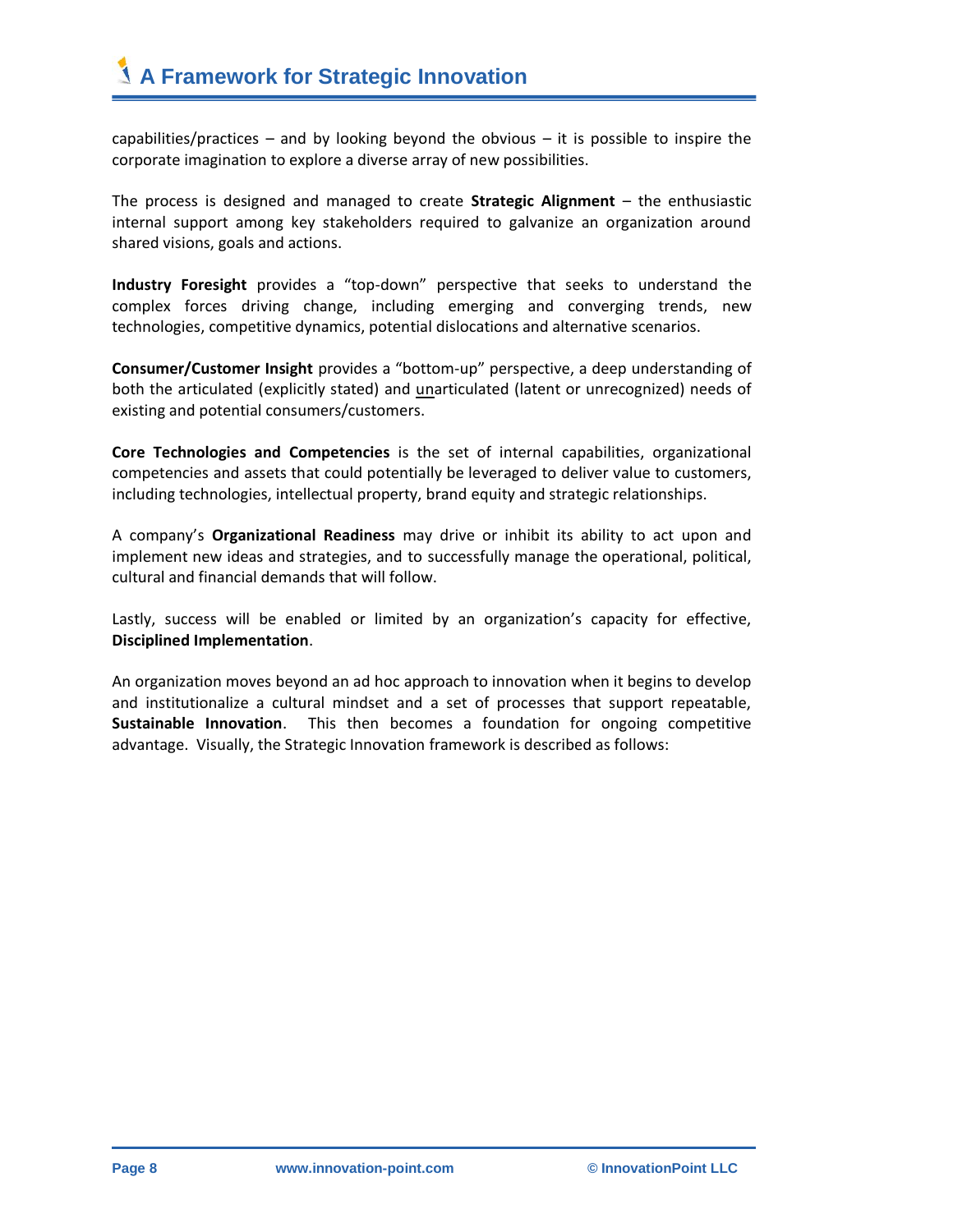capabilities/practices – and by looking beyond the obvious – it is possible to inspire the corporate imagination to explore a diverse array of new possibilities.

The process is designed and managed to create **Strategic Alignment** – the enthusiastic internal support among key stakeholders required to galvanize an organization around shared visions, goals and actions.

**Industry Foresight** provides a "top-down" perspective that seeks to understand the complex forces driving change, including emerging and converging trends, new technologies, competitive dynamics, potential dislocations and alternative scenarios.

**Consumer/Customer Insight** provides a "bottom-up" perspective, a deep understanding of both the articulated (explicitly stated) and unarticulated (latent or unrecognized) needs of existing and potential consumers/customers.

**Core Technologies and Competencies** is the set of internal capabilities, organizational competencies and assets that could potentially be leveraged to deliver value to customers, including technologies, intellectual property, brand equity and strategic relationships.

A company's **Organizational Readiness** may drive or inhibit its ability to act upon and implement new ideas and strategies, and to successfully manage the operational, political, cultural and financial demands that will follow.

Lastly, success will be enabled or limited by an organization's capacity for effective, **Disciplined Implementation**.

An organization moves beyond an ad hoc approach to innovation when it begins to develop and institutionalize a cultural mindset and a set of processes that support repeatable, **Sustainable Innovation**. This then becomes a foundation for ongoing competitive advantage. Visually, the Strategic Innovation framework is described as follows: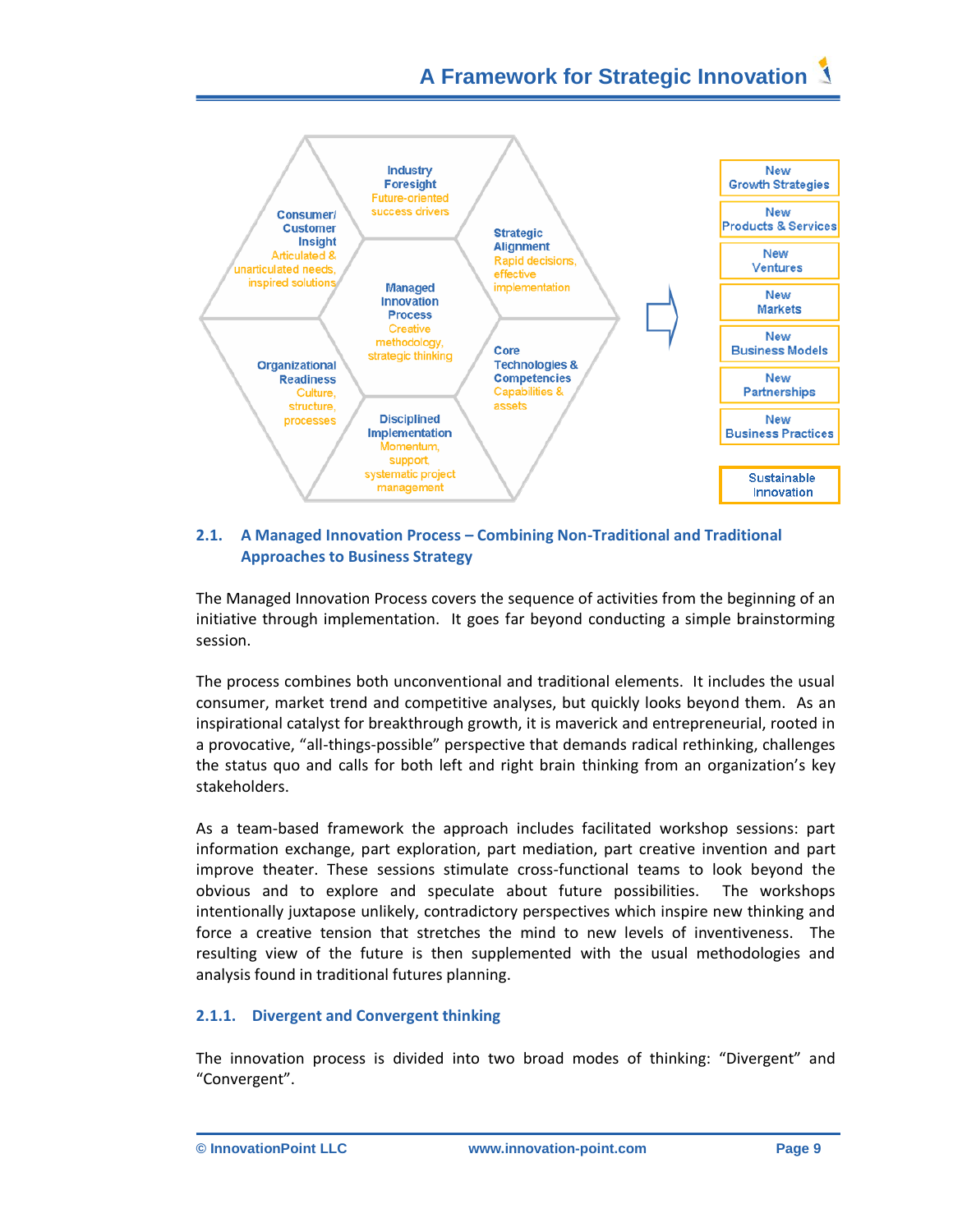

#### **2.1. A Managed Innovation Process – Combining Non-Traditional and Traditional Approaches to Business Strategy**

The Managed Innovation Process covers the sequence of activities from the beginning of an initiative through implementation. It goes far beyond conducting a simple brainstorming session.

The process combines both unconventional and traditional elements. It includes the usual consumer, market trend and competitive analyses, but quickly looks beyond them. As an inspirational catalyst for breakthrough growth, it is maverick and entrepreneurial, rooted in a provocative, "all-things-possible" perspective that demands radical rethinking, challenges the status quo and calls for both left and right brain thinking from an organization's key stakeholders.

As a team-based framework the approach includes facilitated workshop sessions: part information exchange, part exploration, part mediation, part creative invention and part improve theater. These sessions stimulate cross-functional teams to look beyond the obvious and to explore and speculate about future possibilities. The workshops intentionally juxtapose unlikely, contradictory perspectives which inspire new thinking and force a creative tension that stretches the mind to new levels of inventiveness. The resulting view of the future is then supplemented with the usual methodologies and analysis found in traditional futures planning.

### **2.1.1. Divergent and Convergent thinking**

The innovation process is divided into two broad modes of thinking: "Divergent" and "Convergent".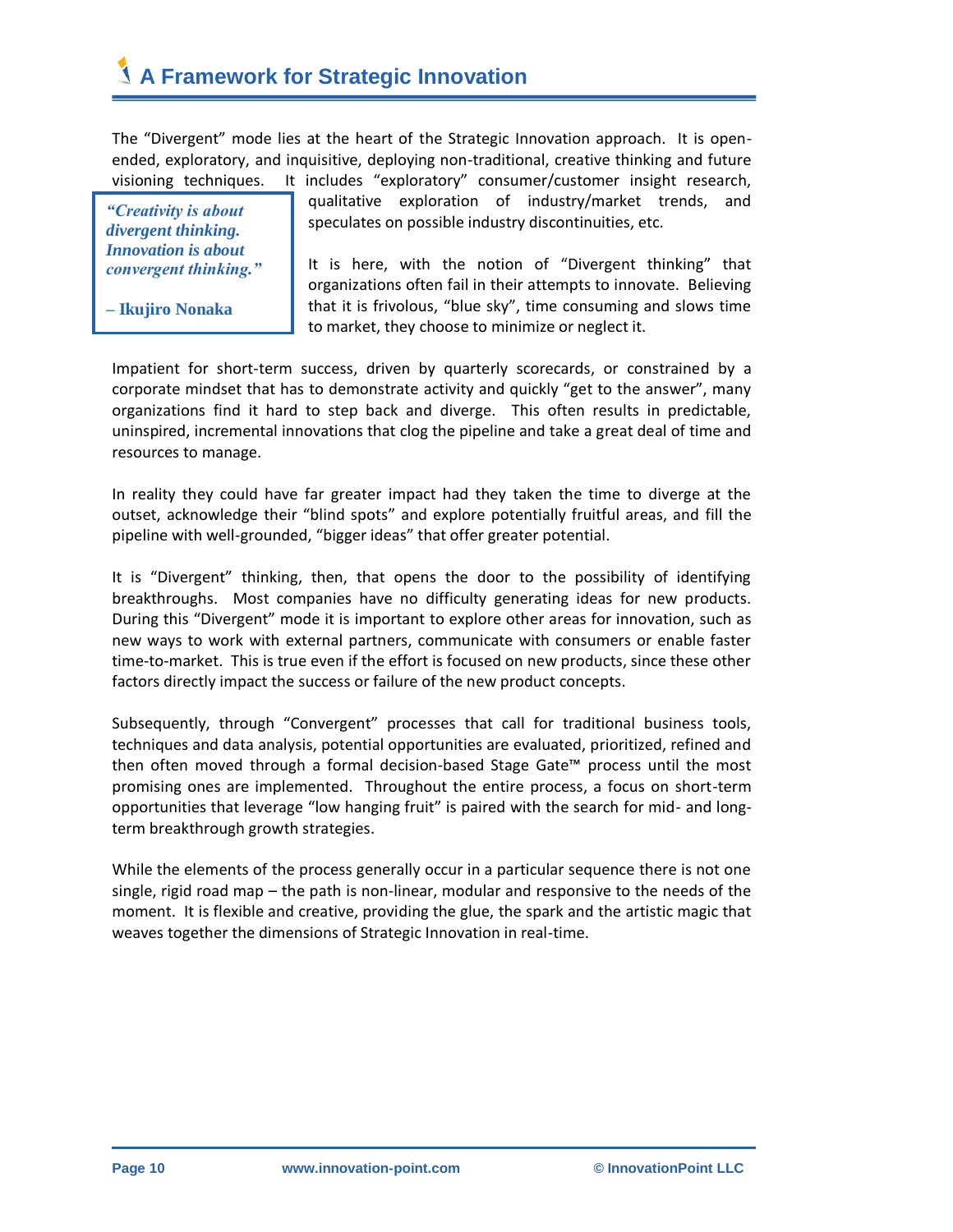## **A Framework for Strategic Innovation**

The "Divergent" mode lies at the heart of the Strategic Innovation approach. It is openended, exploratory, and inquisitive, deploying non-traditional, creative thinking and future visioning techniques. It includes "exploratory" consumer/customer insight research,

*"Creativity is about divergent thinking. Innovation is about convergent thinking."* 

**– Ikujiro Nonaka**

qualitative exploration of industry/market trends, and speculates on possible industry discontinuities, etc.

It is here, with the notion of "Divergent thinking" that organizations often fail in their attempts to innovate. Believing that it is frivolous, "blue sky", time consuming and slows time to market, they choose to minimize or neglect it.

Impatient for short-term success, driven by quarterly scorecards, or constrained by a corporate mindset that has to demonstrate activity and quickly "get to the answer", many organizations find it hard to step back and diverge. This often results in predictable, uninspired, incremental innovations that clog the pipeline and take a great deal of time and resources to manage.

In reality they could have far greater impact had they taken the time to diverge at the outset, acknowledge their "blind spots" and explore potentially fruitful areas, and fill the pipeline with well-grounded, "bigger ideas" that offer greater potential.

It is "Divergent" thinking, then, that opens the door to the possibility of identifying breakthroughs. Most companies have no difficulty generating ideas for new products. During this "Divergent" mode it is important to explore other areas for innovation, such as new ways to work with external partners, communicate with consumers or enable faster time-to-market. This is true even if the effort is focused on new products, since these other factors directly impact the success or failure of the new product concepts.

Subsequently, through "Convergent" processes that call for traditional business tools, techniques and data analysis, potential opportunities are evaluated, prioritized, refined and then often moved through a formal decision-based Stage Gate™ process until the most promising ones are implemented. Throughout the entire process, a focus on short-term opportunities that leverage "low hanging fruit" is paired with the search for mid- and longterm breakthrough growth strategies.

While the elements of the process generally occur in a particular sequence there is not one single, rigid road map – the path is non-linear, modular and responsive to the needs of the moment. It is flexible and creative, providing the glue, the spark and the artistic magic that weaves together the dimensions of Strategic Innovation in real-time.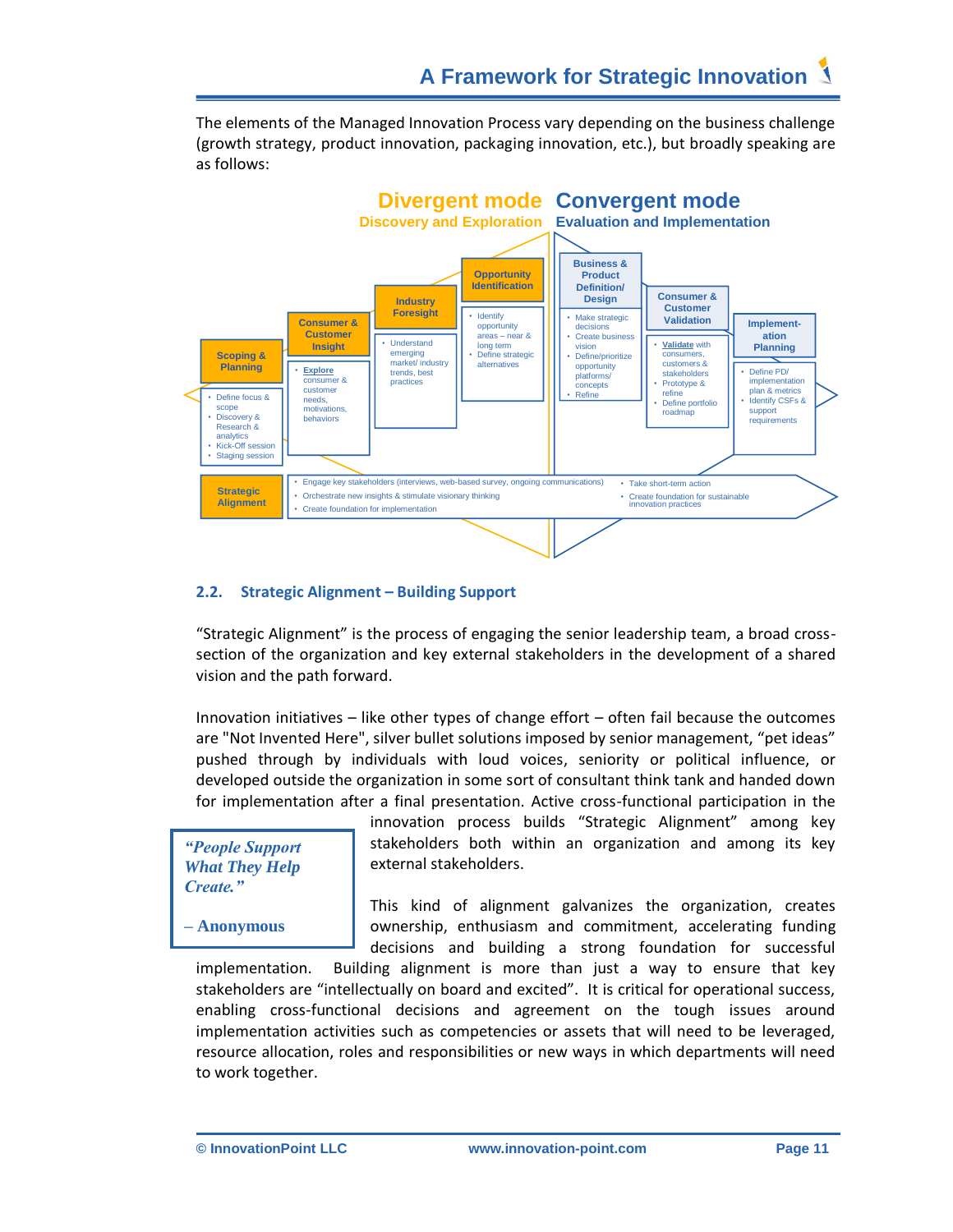The elements of the Managed Innovation Process vary depending on the business challenge (growth strategy, product innovation, packaging innovation, etc.), but broadly speaking are as follows:



#### **2.2. Strategic Alignment – Building Support**

"Strategic Alignment" is the process of engaging the senior leadership team, a broad crosssection of the organization and key external stakeholders in the development of a shared vision and the path forward.

Innovation initiatives – like other types of change effort – often fail because the outcomes are "Not Invented Here", silver bullet solutions imposed by senior management, "pet ideas" pushed through by individuals with loud voices, seniority or political influence, or developed outside the organization in some sort of consultant think tank and handed down for implementation after a final presentation. Active cross-functional participation in the

*"People Support What They Help Create."* 

**– Anonymous**

innovation process builds "Strategic Alignment" among key stakeholders both within an organization and among its key external stakeholders.

This kind of alignment galvanizes the organization, creates ownership, enthusiasm and commitment, accelerating funding decisions and building a strong foundation for successful

implementation. Building alignment is more than just a way to ensure that key stakeholders are "intellectually on board and excited". It is critical for operational success, enabling cross-functional decisions and agreement on the tough issues around implementation activities such as competencies or assets that will need to be leveraged, resource allocation, roles and responsibilities or new ways in which departments will need to work together.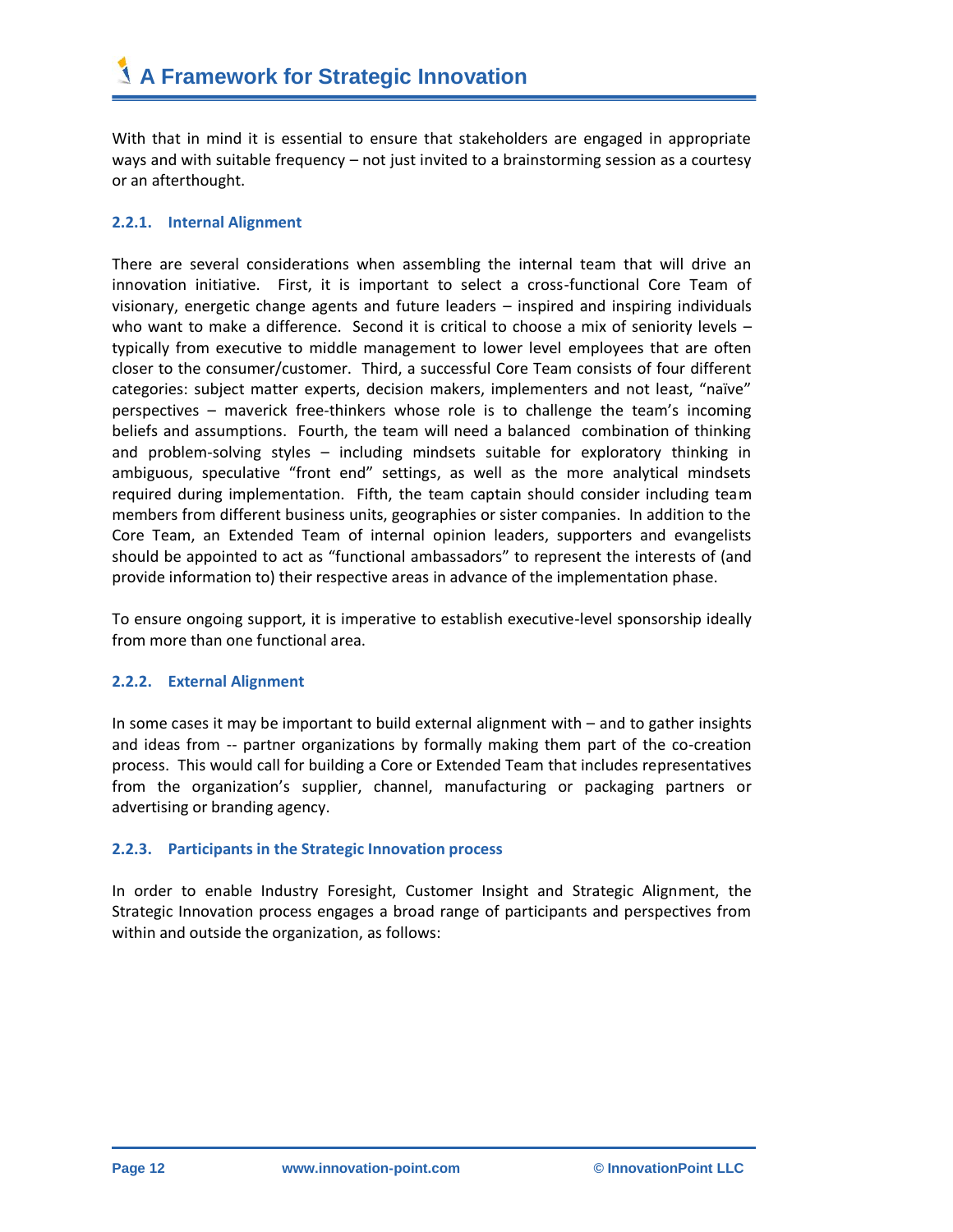With that in mind it is essential to ensure that stakeholders are engaged in appropriate ways and with suitable frequency – not just invited to a brainstorming session as a courtesy or an afterthought.

#### **2.2.1. Internal Alignment**

There are several considerations when assembling the internal team that will drive an innovation initiative. First, it is important to select a cross-functional Core Team of visionary, energetic change agents and future leaders – inspired and inspiring individuals who want to make a difference. Second it is critical to choose a mix of seniority levels typically from executive to middle management to lower level employees that are often closer to the consumer/customer. Third, a successful Core Team consists of four different categories: subject matter experts, decision makers, implementers and not least, "naïve" perspectives – maverick free-thinkers whose role is to challenge the team's incoming beliefs and assumptions. Fourth, the team will need a balanced combination of thinking and problem-solving styles – including mindsets suitable for exploratory thinking in ambiguous, speculative "front end" settings, as well as the more analytical mindsets required during implementation. Fifth, the team captain should consider including team members from different business units, geographies or sister companies. In addition to the Core Team, an Extended Team of internal opinion leaders, supporters and evangelists should be appointed to act as "functional ambassadors" to represent the interests of (and provide information to) their respective areas in advance of the implementation phase.

To ensure ongoing support, it is imperative to establish executive-level sponsorship ideally from more than one functional area.

#### **2.2.2. External Alignment**

In some cases it may be important to build external alignment with – and to gather insights and ideas from -- partner organizations by formally making them part of the co-creation process. This would call for building a Core or Extended Team that includes representatives from the organization's supplier, channel, manufacturing or packaging partners or advertising or branding agency.

#### **2.2.3. Participants in the Strategic Innovation process**

In order to enable Industry Foresight, Customer Insight and Strategic Alignment, the Strategic Innovation process engages a broad range of participants and perspectives from within and outside the organization, as follows: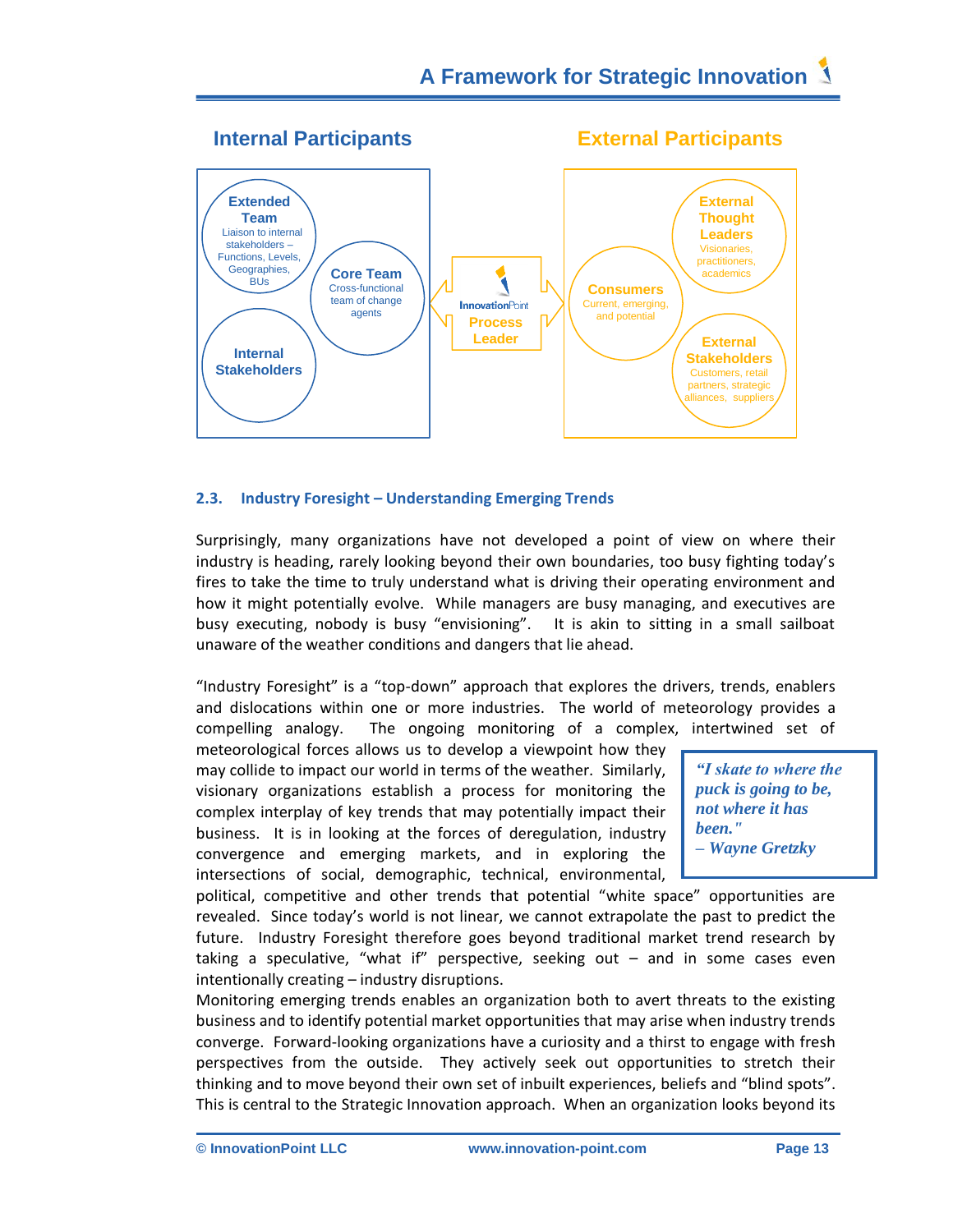#### **Internal Participants External Participants Extended External Team Thought**  Liaison to internal **Leaders** stakeholders – Visionaries, Functions, Levels, practitioners, **Geographies Core Team** K academics **BUs** Cross-functional **Consumers**  team of change Current, emerging, **InnovationPoint** agents and potential **Process Leader External Internal Stakeholders Stakeholders** Customers, retail partners, strategic lliances, supplier

#### **2.3. Industry Foresight – Understanding Emerging Trends**

Surprisingly, many organizations have not developed a point of view on where their industry is heading, rarely looking beyond their own boundaries, too busy fighting today's fires to take the time to truly understand what is driving their operating environment and how it might potentially evolve. While managers are busy managing, and executives are busy executing, nobody is busy "envisioning". It is akin to sitting in a small sailboat unaware of the weather conditions and dangers that lie ahead.

"Industry Foresight" is a "top-down" approach that explores the drivers, trends, enablers and dislocations within one or more industries. The world of meteorology provides a compelling analogy. The ongoing monitoring of a complex, intertwined set of

meteorological forces allows us to develop a viewpoint how they may collide to impact our world in terms of the weather. Similarly, visionary organizations establish a process for monitoring the complex interplay of key trends that may potentially impact their business. It is in looking at the forces of deregulation, industry convergence and emerging markets, and in exploring the intersections of social, demographic, technical, environmental,

*"I skate to where the puck is going to be, not where it has been."* **–** *Wayne Gretzky*

political, competitive and other trends that potential "white space" opportunities are revealed. Since today's world is not linear, we cannot extrapolate the past to predict the future. Industry Foresight therefore goes beyond traditional market trend research by taking a speculative, "what if" perspective, seeking out – and in some cases even intentionally creating – industry disruptions.

Monitoring emerging trends enables an organization both to avert threats to the existing business and to identify potential market opportunities that may arise when industry trends converge. Forward-looking organizations have a curiosity and a thirst to engage with fresh perspectives from the outside. They actively seek out opportunities to stretch their thinking and to move beyond their own set of inbuilt experiences, beliefs and "blind spots". This is central to the Strategic Innovation approach. When an organization looks beyond its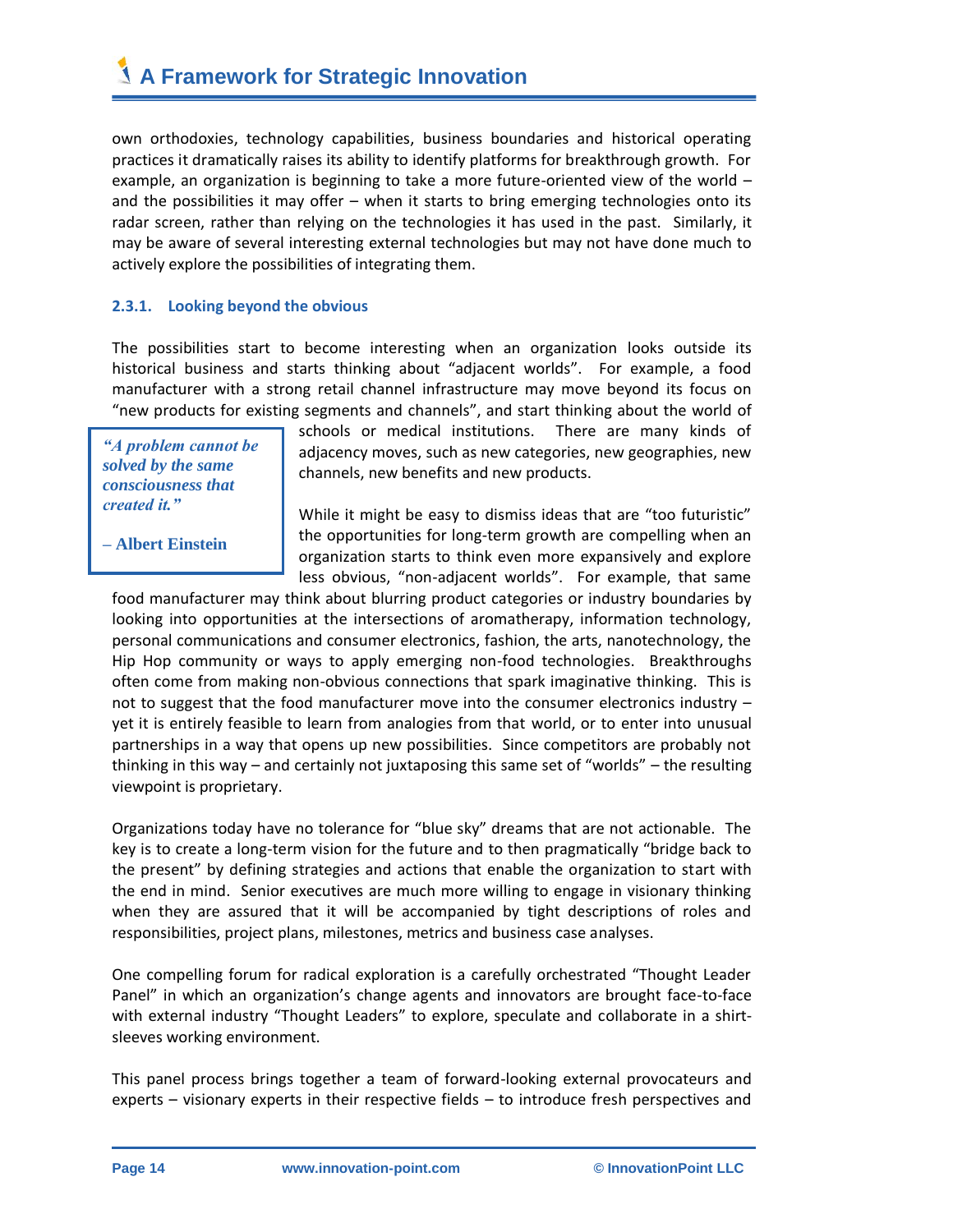own orthodoxies, technology capabilities, business boundaries and historical operating practices it dramatically raises its ability to identify platforms for breakthrough growth. For example, an organization is beginning to take a more future-oriented view of the world – and the possibilities it may offer – when it starts to bring emerging technologies onto its radar screen, rather than relying on the technologies it has used in the past. Similarly, it may be aware of several interesting external technologies but may not have done much to actively explore the possibilities of integrating them.

#### **2.3.1. Looking beyond the obvious**

The possibilities start to become interesting when an organization looks outside its historical business and starts thinking about "adjacent worlds". For example, a food manufacturer with a strong retail channel infrastructure may move beyond its focus on "new products for existing segments and channels", and start thinking about the world of

*"A problem cannot be solved by the same consciousness that created it."* 

**– Albert Einstein**

schools or medical institutions. There are many kinds of adjacency moves, such as new categories, new geographies, new channels, new benefits and new products.

While it might be easy to dismiss ideas that are "too futuristic" the opportunities for long-term growth are compelling when an organization starts to think even more expansively and explore less obvious, "non-adjacent worlds". For example, that same

food manufacturer may think about blurring product categories or industry boundaries by looking into opportunities at the intersections of aromatherapy, information technology, personal communications and consumer electronics, fashion, the arts, nanotechnology, the Hip Hop community or ways to apply emerging non-food technologies. Breakthroughs often come from making non-obvious connections that spark imaginative thinking. This is not to suggest that the food manufacturer move into the consumer electronics industry – yet it is entirely feasible to learn from analogies from that world, or to enter into unusual partnerships in a way that opens up new possibilities. Since competitors are probably not thinking in this way – and certainly not juxtaposing this same set of "worlds" – the resulting viewpoint is proprietary.

Organizations today have no tolerance for "blue sky" dreams that are not actionable. The key is to create a long-term vision for the future and to then pragmatically "bridge back to the present" by defining strategies and actions that enable the organization to start with the end in mind. Senior executives are much more willing to engage in visionary thinking when they are assured that it will be accompanied by tight descriptions of roles and responsibilities, project plans, milestones, metrics and business case analyses.

One compelling forum for radical exploration is a carefully orchestrated "Thought Leader Panel" in which an organization's change agents and innovators are brought face-to-face with external industry "Thought Leaders" to explore, speculate and collaborate in a shirtsleeves working environment.

This panel process brings together a team of forward-looking external provocateurs and experts – visionary experts in their respective fields – to introduce fresh perspectives and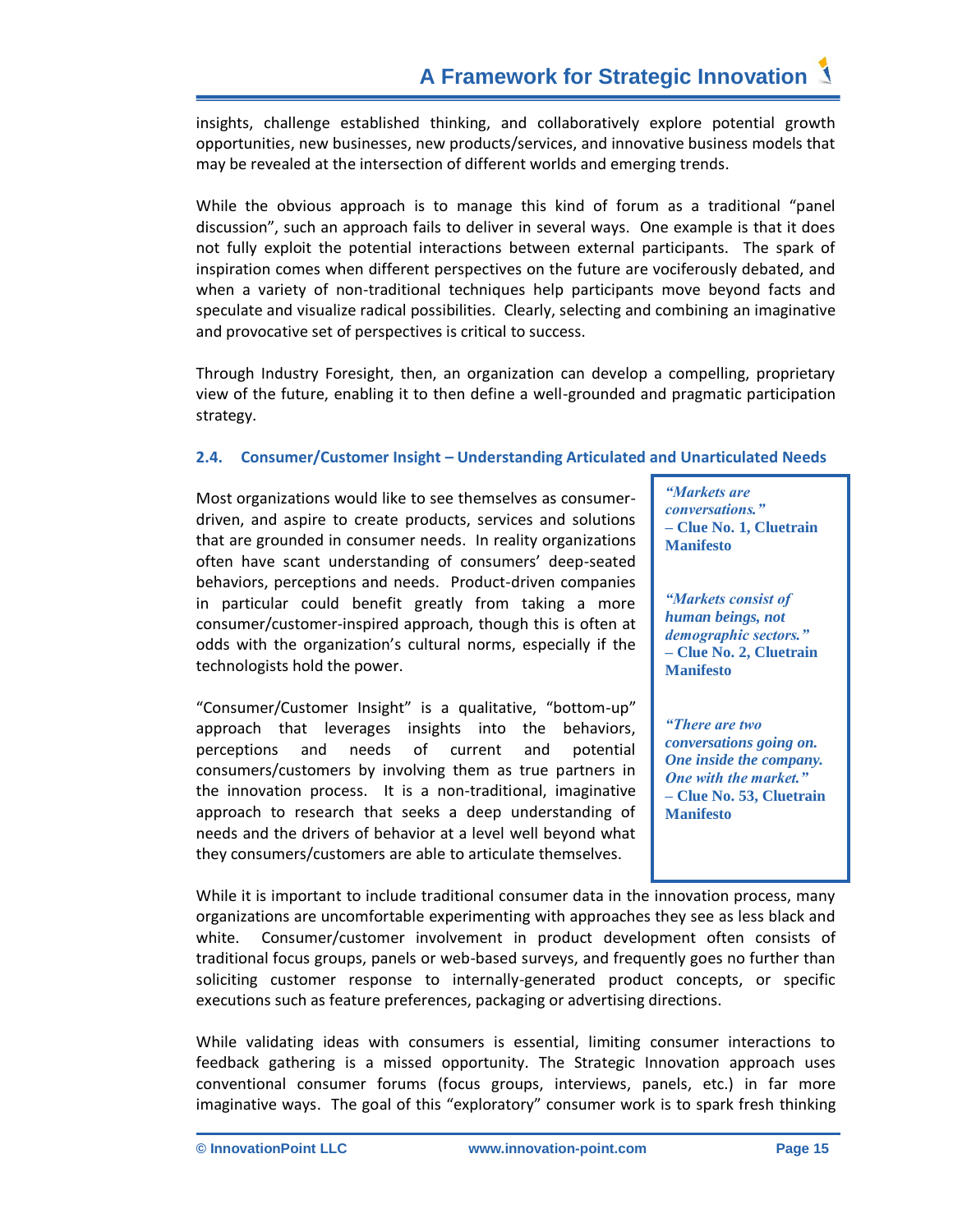insights, challenge established thinking, and collaboratively explore potential growth opportunities, new businesses, new products/services, and innovative business models that may be revealed at the intersection of different worlds and emerging trends.

While the obvious approach is to manage this kind of forum as a traditional "panel discussion", such an approach fails to deliver in several ways. One example is that it does not fully exploit the potential interactions between external participants. The spark of inspiration comes when different perspectives on the future are vociferously debated, and when a variety of non-traditional techniques help participants move beyond facts and speculate and visualize radical possibilities. Clearly, selecting and combining an imaginative and provocative set of perspectives is critical to success.

Through Industry Foresight, then, an organization can develop a compelling, proprietary view of the future, enabling it to then define a well-grounded and pragmatic participation strategy.

#### **2.4. Consumer/Customer Insight – Understanding Articulated and Unarticulated Needs**

Most organizations would like to see themselves as consumerdriven, and aspire to create products, services and solutions that are grounded in consumer needs. In reality organizations often have scant understanding of consumers' deep-seated behaviors, perceptions and needs. Product-driven companies in particular could benefit greatly from taking a more consumer/customer-inspired approach, though this is often at odds with the organization's cultural norms, especially if the technologists hold the power.

"Consumer/Customer Insight" is a qualitative, "bottom-up" approach that leverages insights into the behaviors, perceptions and needs of current and potential consumers/customers by involving them as true partners in the innovation process. It is a non-traditional, imaginative approach to research that seeks a deep understanding of needs and the drivers of behavior at a level well beyond what they consumers/customers are able to articulate themselves.

*"Markets are conversations."* **– Clue No. 1, Cluetrain Manifesto**

*"Markets consist of human beings, not demographic sectors."* **– Clue No. 2, Cluetrain Manifesto**

*"There are two conversations going on. One inside the company. One with the market."* **– Clue No. 53, Cluetrain Manifesto**

While it is important to include traditional consumer data in the innovation process, many organizations are uncomfortable experimenting with approaches they see as less black and white. Consumer/customer involvement in product development often consists of traditional focus groups, panels or web-based surveys, and frequently goes no further than soliciting customer response to internally-generated product concepts, or specific executions such as feature preferences, packaging or advertising directions.

While validating ideas with consumers is essential, limiting consumer interactions to feedback gathering is a missed opportunity. The Strategic Innovation approach uses conventional consumer forums (focus groups, interviews, panels, etc.) in far more imaginative ways. The goal of this "exploratory" consumer work is to spark fresh thinking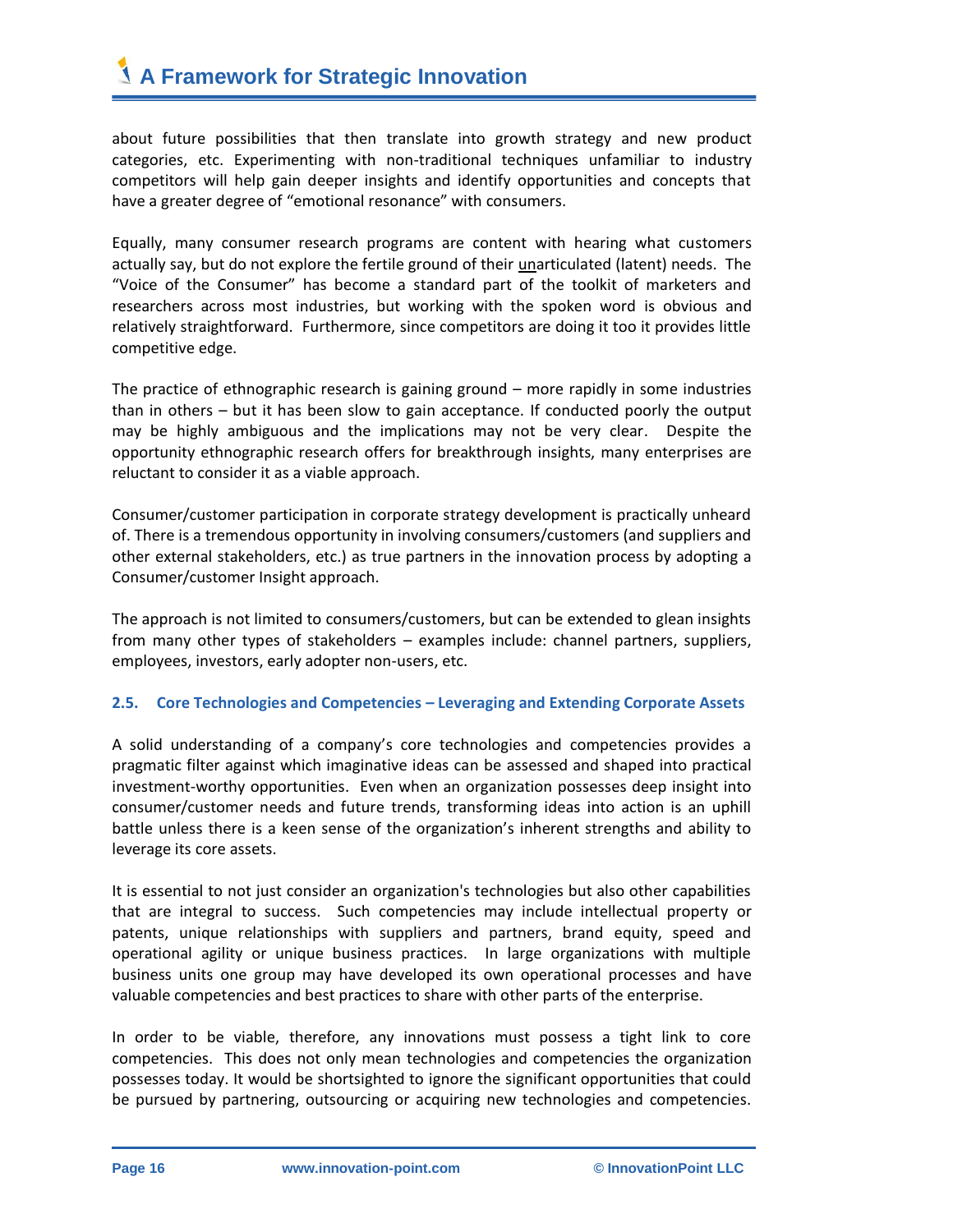# **A Framework for Strategic Innovation**

about future possibilities that then translate into growth strategy and new product categories, etc. Experimenting with non-traditional techniques unfamiliar to industry competitors will help gain deeper insights and identify opportunities and concepts that have a greater degree of "emotional resonance" with consumers.

Equally, many consumer research programs are content with hearing what customers actually say, but do not explore the fertile ground of their *unarticulated* (latent) needs. The "Voice of the Consumer" has become a standard part of the toolkit of marketers and researchers across most industries, but working with the spoken word is obvious and relatively straightforward. Furthermore, since competitors are doing it too it provides little competitive edge.

The practice of ethnographic research is gaining ground – more rapidly in some industries than in others – but it has been slow to gain acceptance. If conducted poorly the output may be highly ambiguous and the implications may not be very clear. Despite the opportunity ethnographic research offers for breakthrough insights, many enterprises are reluctant to consider it as a viable approach.

Consumer/customer participation in corporate strategy development is practically unheard of. There is a tremendous opportunity in involving consumers/customers (and suppliers and other external stakeholders, etc.) as true partners in the innovation process by adopting a Consumer/customer Insight approach.

The approach is not limited to consumers/customers, but can be extended to glean insights from many other types of stakeholders – examples include: channel partners, suppliers, employees, investors, early adopter non-users, etc.

#### **2.5. Core Technologies and Competencies – Leveraging and Extending Corporate Assets**

A solid understanding of a company's core technologies and competencies provides a pragmatic filter against which imaginative ideas can be assessed and shaped into practical investment-worthy opportunities. Even when an organization possesses deep insight into consumer/customer needs and future trends, transforming ideas into action is an uphill battle unless there is a keen sense of the organization's inherent strengths and ability to leverage its core assets.

It is essential to not just consider an organization's technologies but also other capabilities that are integral to success. Such competencies may include intellectual property or patents, unique relationships with suppliers and partners, brand equity, speed and operational agility or unique business practices. In large organizations with multiple business units one group may have developed its own operational processes and have valuable competencies and best practices to share with other parts of the enterprise.

In order to be viable, therefore, any innovations must possess a tight link to core competencies. This does not only mean technologies and competencies the organization possesses today. It would be shortsighted to ignore the significant opportunities that could be pursued by partnering, outsourcing or acquiring new technologies and competencies.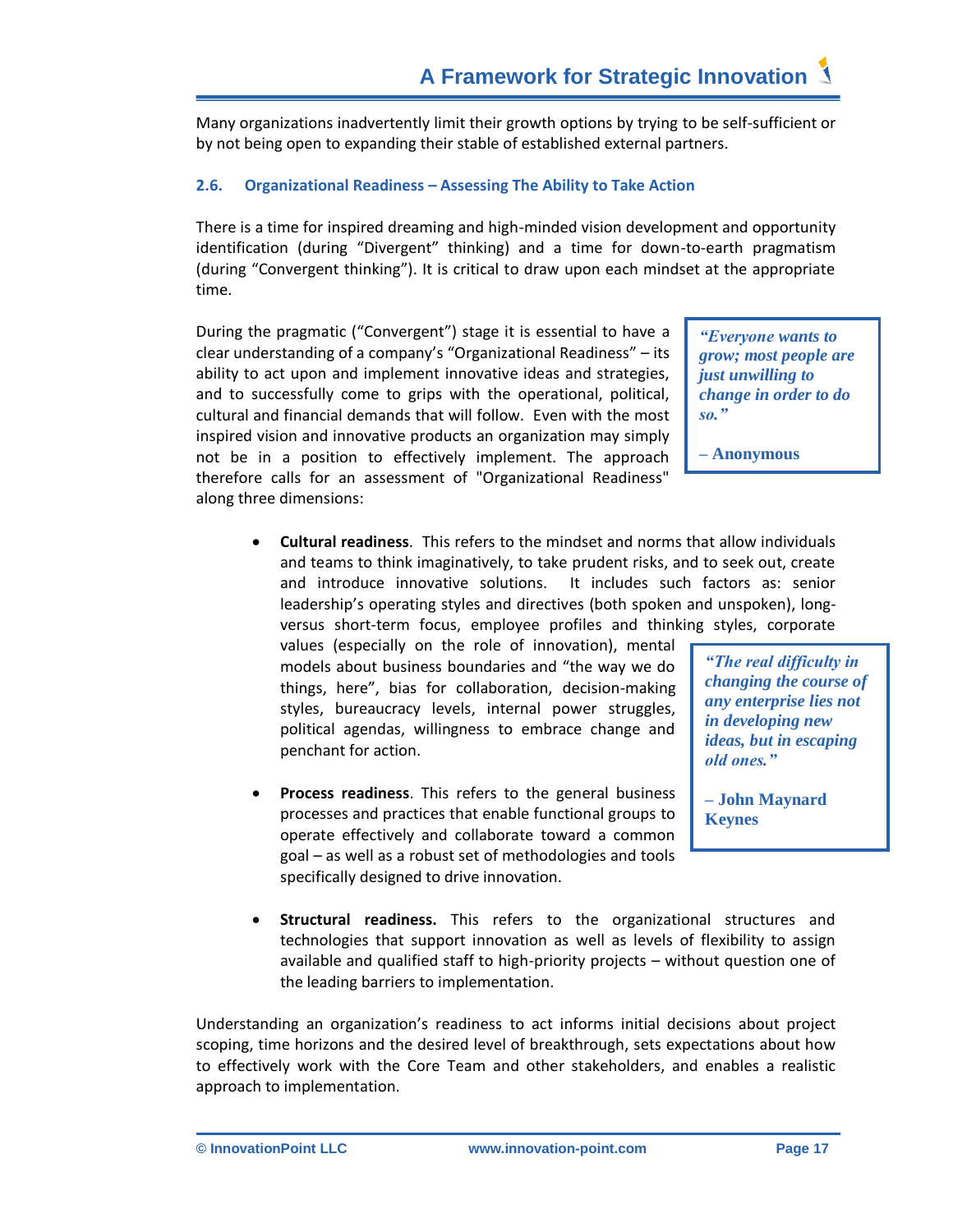Many organizations inadvertently limit their growth options by trying to be self-sufficient or by not being open to expanding their stable of established external partners.

#### **2.6. Organizational Readiness – Assessing The Ability to Take Action**

There is a time for inspired dreaming and high-minded vision development and opportunity identification (during "Divergent" thinking) and a time for down-to-earth pragmatism (during "Convergent thinking"). It is critical to draw upon each mindset at the appropriate time.

During the pragmatic ("Convergent") stage it is essential to have a clear understanding of a company's "Organizational Readiness" – its ability to act upon and implement innovative ideas and strategies, and to successfully come to grips with the operational, political, cultural and financial demands that will follow. Even with the most inspired vision and innovative products an organization may simply not be in a position to effectively implement. The approach therefore calls for an assessment of "Organizational Readiness" along three dimensions:

*"Everyone wants to grow; most people are just unwilling to change in order to do so."*

**– Anonymous**

• **Cultural readiness**. This refers to the mindset and norms that allow individuals and teams to think imaginatively, to take prudent risks, and to seek out, create and introduce innovative solutions. It includes such factors as: senior leadership's operating styles and directives (both spoken and unspoken), longversus short-term focus, employee profiles and thinking styles, corporate

values (especially on the role of innovation), mental models about business boundaries and "the way we do things, here", bias for collaboration, decision-making styles, bureaucracy levels, internal power struggles, political agendas, willingness to embrace change and penchant for action.

• **Process readiness**. This refers to the general business processes and practices that enable functional groups to operate effectively and collaborate toward a common goal – as well as a robust set of methodologies and tools specifically designed to drive innovation.

*"The real difficulty in changing the course of any enterprise lies not in developing new ideas, but in escaping old ones."*

**– John Maynard Keynes**

• **Structural readiness.** This refers to the organizational structures and technologies that support innovation as well as levels of flexibility to assign available and qualified staff to high-priority projects – without question one of the leading barriers to implementation.

Understanding an organization's readiness to act informs initial decisions about project scoping, time horizons and the desired level of breakthrough, sets expectations about how to effectively work with the Core Team and other stakeholders, and enables a realistic approach to implementation.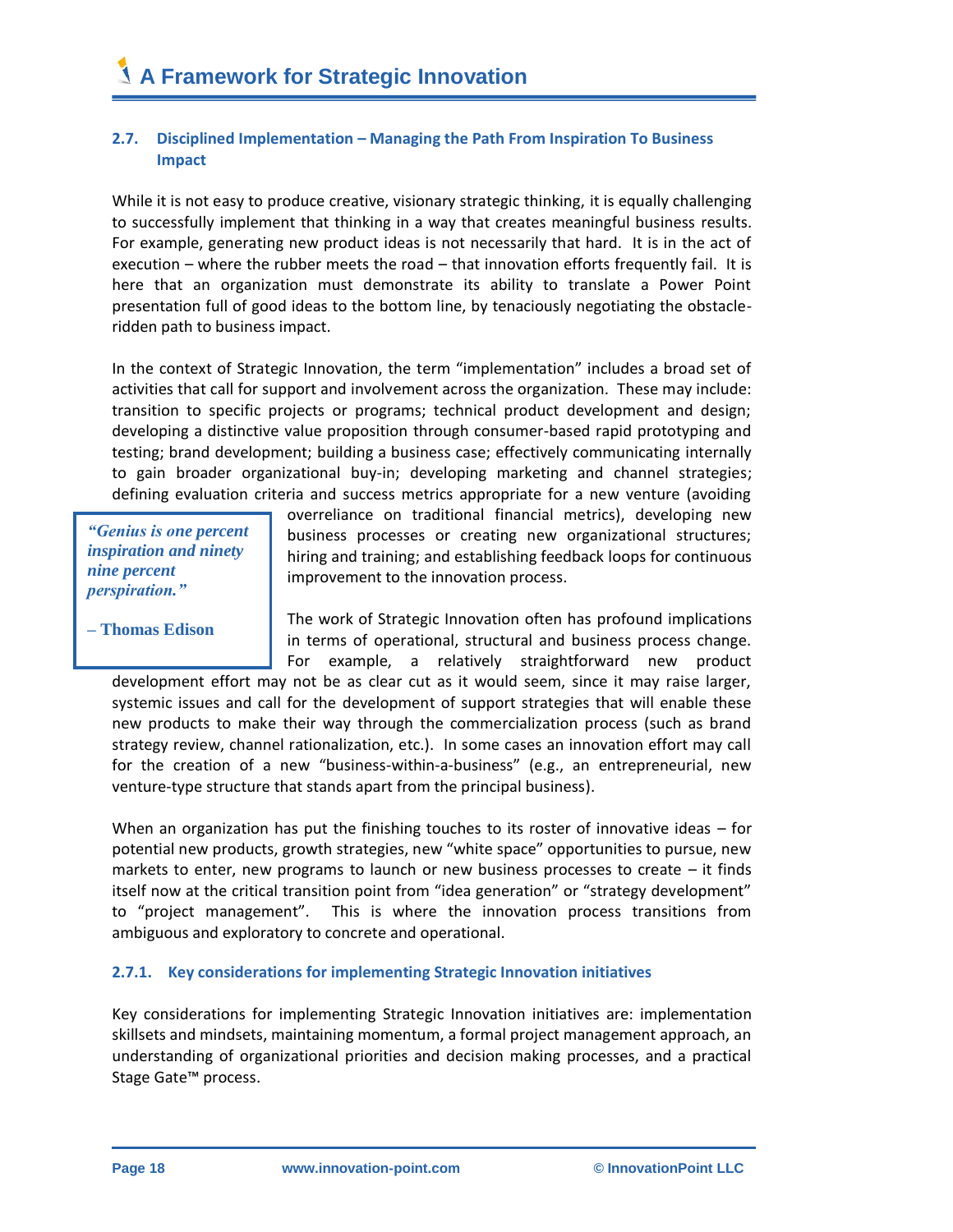### **2.7. Disciplined Implementation – Managing the Path From Inspiration To Business Impact**

While it is not easy to produce creative, visionary strategic thinking, it is equally challenging to successfully implement that thinking in a way that creates meaningful business results. For example, generating new product ideas is not necessarily that hard. It is in the act of execution – where the rubber meets the road – that innovation efforts frequently fail. It is here that an organization must demonstrate its ability to translate a Power Point presentation full of good ideas to the bottom line, by tenaciously negotiating the obstacleridden path to business impact.

In the context of Strategic Innovation, the term "implementation" includes a broad set of activities that call for support and involvement across the organization. These may include: transition to specific projects or programs; technical product development and design; developing a distinctive value proposition through consumer-based rapid prototyping and testing; brand development; building a business case; effectively communicating internally to gain broader organizational buy-in; developing marketing and channel strategies; defining evaluation criteria and success metrics appropriate for a new venture (avoiding

*"Genius is one percent inspiration and ninety nine percent perspiration."*

**– Thomas Edison** 

overreliance on traditional financial metrics), developing new business processes or creating new organizational structures; hiring and training; and establishing feedback loops for continuous improvement to the innovation process.

The work of Strategic Innovation often has profound implications in terms of operational, structural and business process change. For example, a relatively straightforward new product

development effort may not be as clear cut as it would seem, since it may raise larger, systemic issues and call for the development of support strategies that will enable these new products to make their way through the commercialization process (such as brand strategy review, channel rationalization, etc.). In some cases an innovation effort may call for the creation of a new "business-within-a-business" (e.g., an entrepreneurial, new venture-type structure that stands apart from the principal business).

When an organization has put the finishing touches to its roster of innovative ideas – for potential new products, growth strategies, new "white space" opportunities to pursue, new markets to enter, new programs to launch or new business processes to create  $-$  it finds itself now at the critical transition point from "idea generation" or "strategy development" to "project management". This is where the innovation process transitions from ambiguous and exploratory to concrete and operational.

### **2.7.1. Key considerations for implementing Strategic Innovation initiatives**

Key considerations for implementing Strategic Innovation initiatives are: implementation skillsets and mindsets, maintaining momentum, a formal project management approach, an understanding of organizational priorities and decision making processes, and a practical Stage Gate™ process.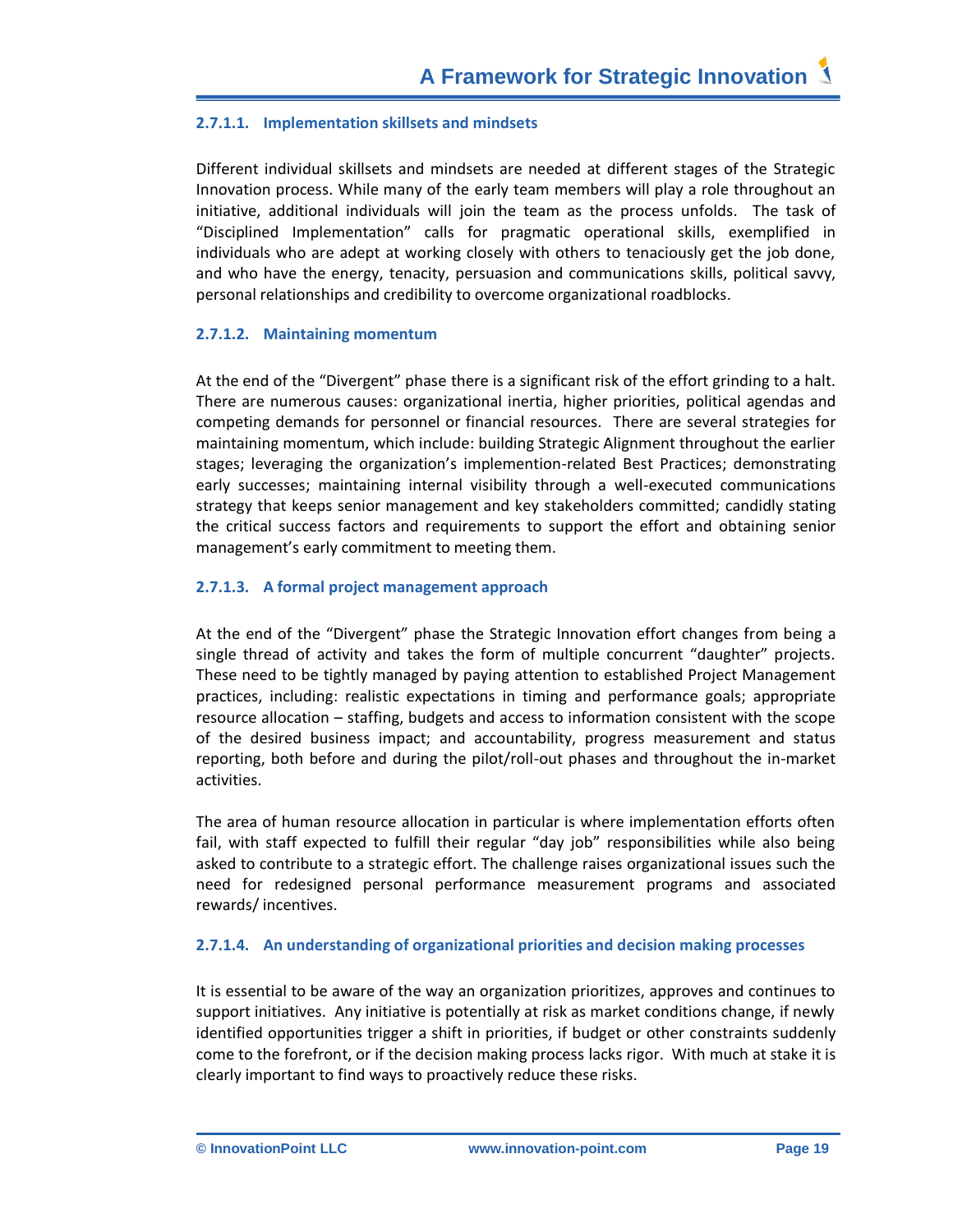#### **2.7.1.1. Implementation skillsets and mindsets**

Different individual skillsets and mindsets are needed at different stages of the Strategic Innovation process. While many of the early team members will play a role throughout an initiative, additional individuals will join the team as the process unfolds. The task of "Disciplined Implementation" calls for pragmatic operational skills, exemplified in individuals who are adept at working closely with others to tenaciously get the job done, and who have the energy, tenacity, persuasion and communications skills, political savvy, personal relationships and credibility to overcome organizational roadblocks.

#### **2.7.1.2. Maintaining momentum**

At the end of the "Divergent" phase there is a significant risk of the effort grinding to a halt. There are numerous causes: organizational inertia, higher priorities, political agendas and competing demands for personnel or financial resources. There are several strategies for maintaining momentum, which include: building Strategic Alignment throughout the earlier stages; leveraging the organization's implemention-related Best Practices; demonstrating early successes; maintaining internal visibility through a well-executed communications strategy that keeps senior management and key stakeholders committed; candidly stating the critical success factors and requirements to support the effort and obtaining senior management's early commitment to meeting them.

#### **2.7.1.3. A formal project management approach**

At the end of the "Divergent" phase the Strategic Innovation effort changes from being a single thread of activity and takes the form of multiple concurrent "daughter" projects. These need to be tightly managed by paying attention to established Project Management practices, including: realistic expectations in timing and performance goals; appropriate resource allocation – staffing, budgets and access to information consistent with the scope of the desired business impact; and accountability, progress measurement and status reporting, both before and during the pilot/roll-out phases and throughout the in-market activities.

The area of human resource allocation in particular is where implementation efforts often fail, with staff expected to fulfill their regular "day job" responsibilities while also being asked to contribute to a strategic effort. The challenge raises organizational issues such the need for redesigned personal performance measurement programs and associated rewards/ incentives.

#### **2.7.1.4. An understanding of organizational priorities and decision making processes**

It is essential to be aware of the way an organization prioritizes, approves and continues to support initiatives. Any initiative is potentially at risk as market conditions change, if newly identified opportunities trigger a shift in priorities, if budget or other constraints suddenly come to the forefront, or if the decision making process lacks rigor. With much at stake it is clearly important to find ways to proactively reduce these risks.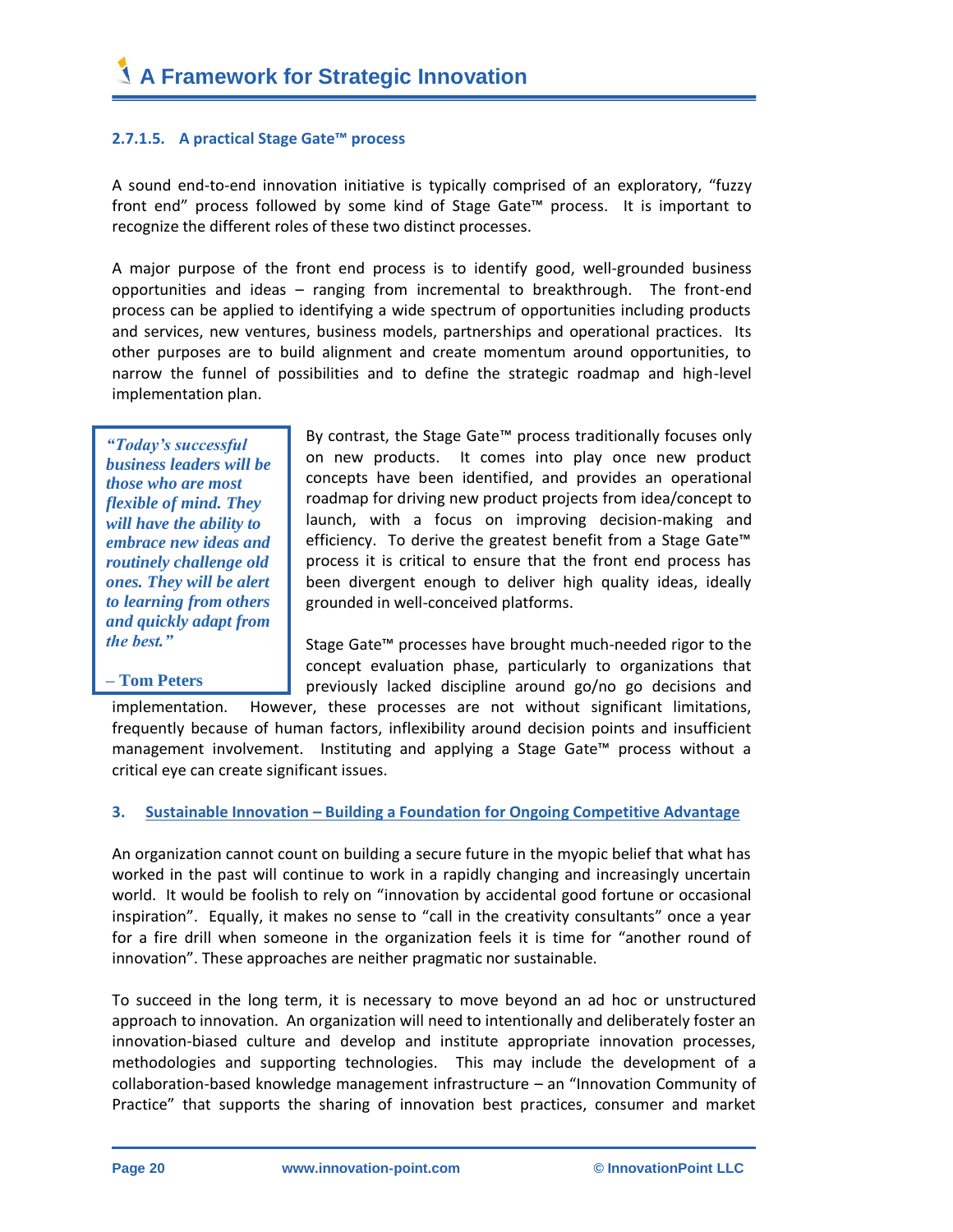#### **2.7.1.5. A practical Stage Gate™ process**

A sound end-to-end innovation initiative is typically comprised of an exploratory, "fuzzy front end" process followed by some kind of Stage Gate™ process. It is important to recognize the different roles of these two distinct processes.

A major purpose of the front end process is to identify good, well-grounded business opportunities and ideas – ranging from incremental to breakthrough. The front-end process can be applied to identifying a wide spectrum of opportunities including products and services, new ventures, business models, partnerships and operational practices. Its other purposes are to build alignment and create momentum around opportunities, to narrow the funnel of possibilities and to define the strategic roadmap and high-level implementation plan.

*"Today's successful business leaders will be those who are most flexible of mind. They will have the ability to embrace new ideas and routinely challenge old ones. They will be alert to learning from others and quickly adapt from the best."*

**– Tom Peters**

By contrast, the Stage Gate™ process traditionally focuses only on new products. It comes into play once new product concepts have been identified, and provides an operational roadmap for driving new product projects from idea/concept to launch, with a focus on improving decision-making and efficiency. To derive the greatest benefit from a Stage Gate™ process it is critical to ensure that the front end process has been divergent enough to deliver high quality ideas, ideally grounded in well-conceived platforms.

Stage Gate™ processes have brought much-needed rigor to the concept evaluation phase, particularly to organizations that previously lacked discipline around go/no go decisions and

implementation. However, these processes are not without significant limitations, frequently because of human factors, inflexibility around decision points and insufficient management involvement. Instituting and applying a Stage Gate™ process without a critical eye can create significant issues.

### **3. Sustainable Innovation – Building a Foundation for Ongoing Competitive Advantage**

An organization cannot count on building a secure future in the myopic belief that what has worked in the past will continue to work in a rapidly changing and increasingly uncertain world. It would be foolish to rely on "innovation by accidental good fortune or occasional inspiration". Equally, it makes no sense to "call in the creativity consultants" once a year for a fire drill when someone in the organization feels it is time for "another round of innovation". These approaches are neither pragmatic nor sustainable.

To succeed in the long term, it is necessary to move beyond an ad hoc or unstructured approach to innovation. An organization will need to intentionally and deliberately foster an innovation-biased culture and develop and institute appropriate innovation processes, methodologies and supporting technologies. This may include the development of a collaboration-based knowledge management infrastructure – an "Innovation Community of Practice" that supports the sharing of innovation best practices, consumer and market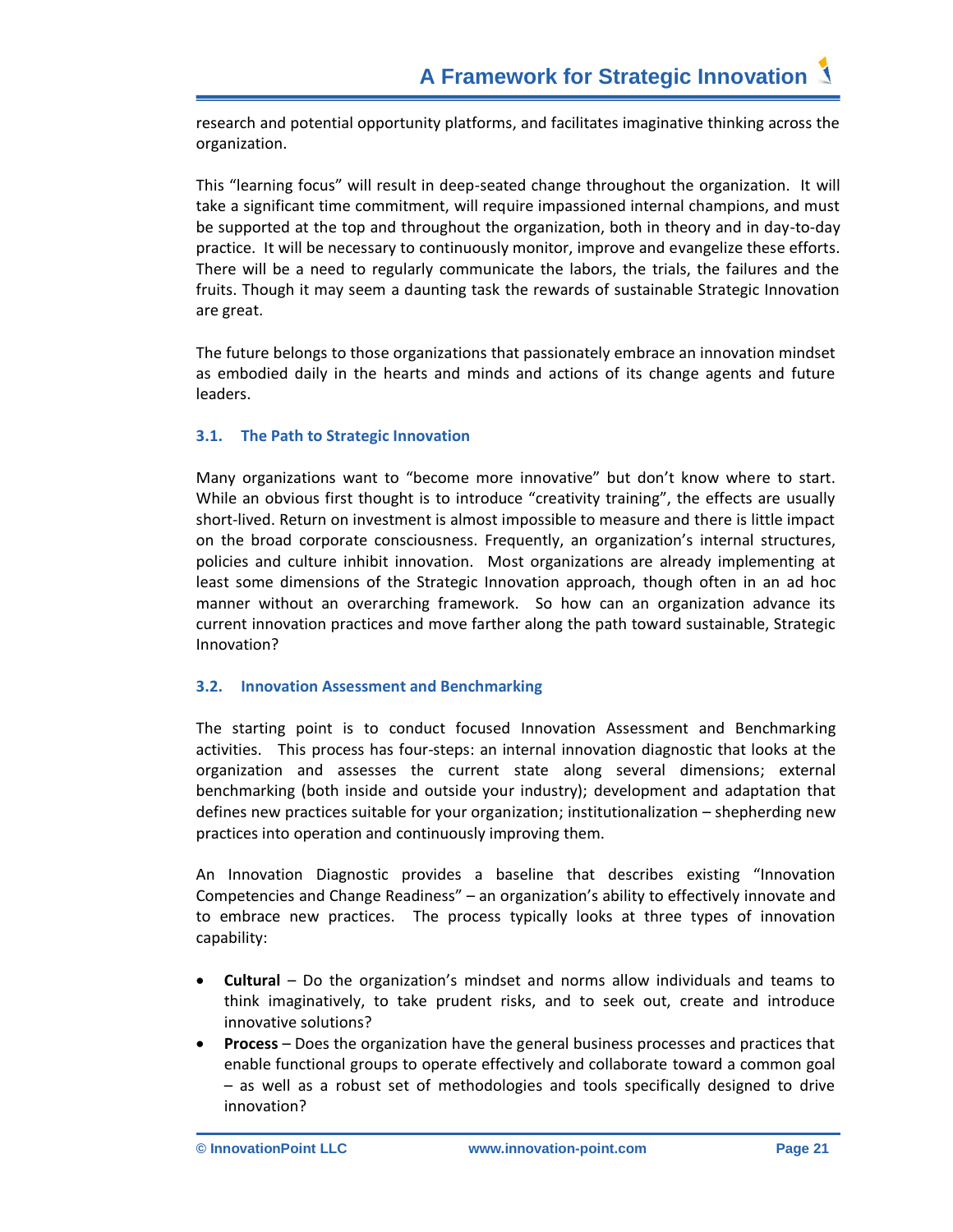research and potential opportunity platforms, and facilitates imaginative thinking across the organization.

This "learning focus" will result in deep-seated change throughout the organization. It will take a significant time commitment, will require impassioned internal champions, and must be supported at the top and throughout the organization, both in theory and in day-to-day practice. It will be necessary to continuously monitor, improve and evangelize these efforts. There will be a need to regularly communicate the labors, the trials, the failures and the fruits. Though it may seem a daunting task the rewards of sustainable Strategic Innovation are great.

The future belongs to those organizations that passionately embrace an innovation mindset as embodied daily in the hearts and minds and actions of its change agents and future leaders.

#### **3.1. The Path to Strategic Innovation**

Many organizations want to "become more innovative" but don't know where to start. While an obvious first thought is to introduce "creativity training", the effects are usually short-lived. Return on investment is almost impossible to measure and there is little impact on the broad corporate consciousness. Frequently, an organization's internal structures, policies and culture inhibit innovation. Most organizations are already implementing at least some dimensions of the Strategic Innovation approach, though often in an ad hoc manner without an overarching framework. So how can an organization advance its current innovation practices and move farther along the path toward sustainable, Strategic Innovation?

#### **3.2. Innovation Assessment and Benchmarking**

The starting point is to conduct focused Innovation Assessment and Benchmarking activities. This process has four-steps: an internal innovation diagnostic that looks at the organization and assesses the current state along several dimensions; external benchmarking (both inside and outside your industry); development and adaptation that defines new practices suitable for your organization; institutionalization – shepherding new practices into operation and continuously improving them.

An Innovation Diagnostic provides a baseline that describes existing "Innovation Competencies and Change Readiness" – an organization's ability to effectively innovate and to embrace new practices. The process typically looks at three types of innovation capability:

- **Cultural**  Do the organization's mindset and norms allow individuals and teams to think imaginatively, to take prudent risks, and to seek out, create and introduce innovative solutions?
- **Process**  Does the organization have the general business processes and practices that enable functional groups to operate effectively and collaborate toward a common goal – as well as a robust set of methodologies and tools specifically designed to drive innovation?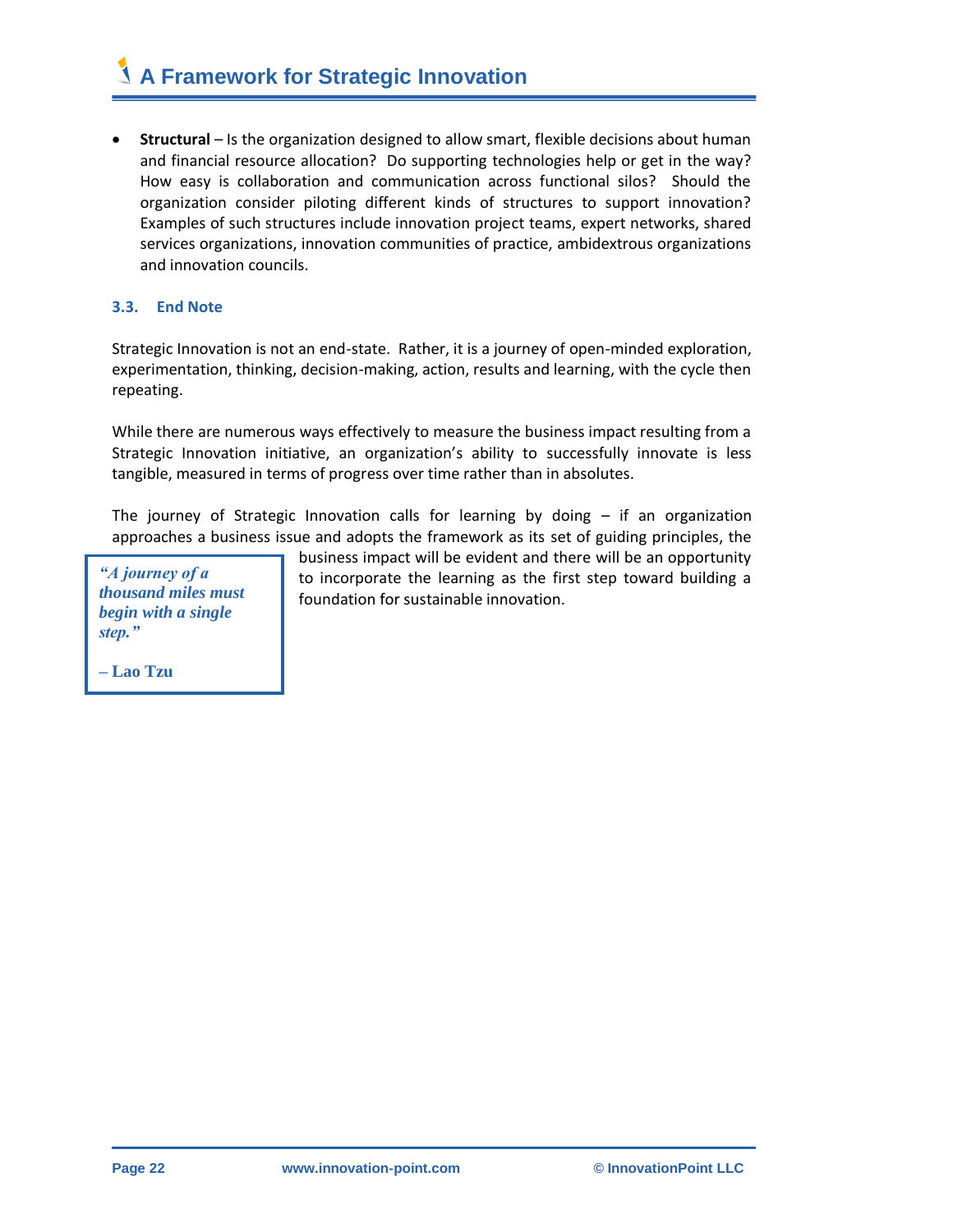• **Structural** – Is the organization designed to allow smart, flexible decisions about human and financial resource allocation? Do supporting technologies help or get in the way? How easy is collaboration and communication across functional silos? Should the organization consider piloting different kinds of structures to support innovation? Examples of such structures include innovation project teams, expert networks, shared services organizations, innovation communities of practice, ambidextrous organizations and innovation councils.

#### **3.3. End Note**

Strategic Innovation is not an end-state. Rather, it is a journey of open-minded exploration, experimentation, thinking, decision-making, action, results and learning, with the cycle then repeating.

While there are numerous ways effectively to measure the business impact resulting from a Strategic Innovation initiative, an organization's ability to successfully innovate is less tangible, measured in terms of progress over time rather than in absolutes.

The journey of Strategic Innovation calls for learning by doing  $-$  if an organization approaches a business issue and adopts the framework as its set of guiding principles, the

*"A journey of a thousand miles must begin with a single step."*

**– Lao Tzu**

business impact will be evident and there will be an opportunity to incorporate the learning as the first step toward building a foundation for sustainable innovation.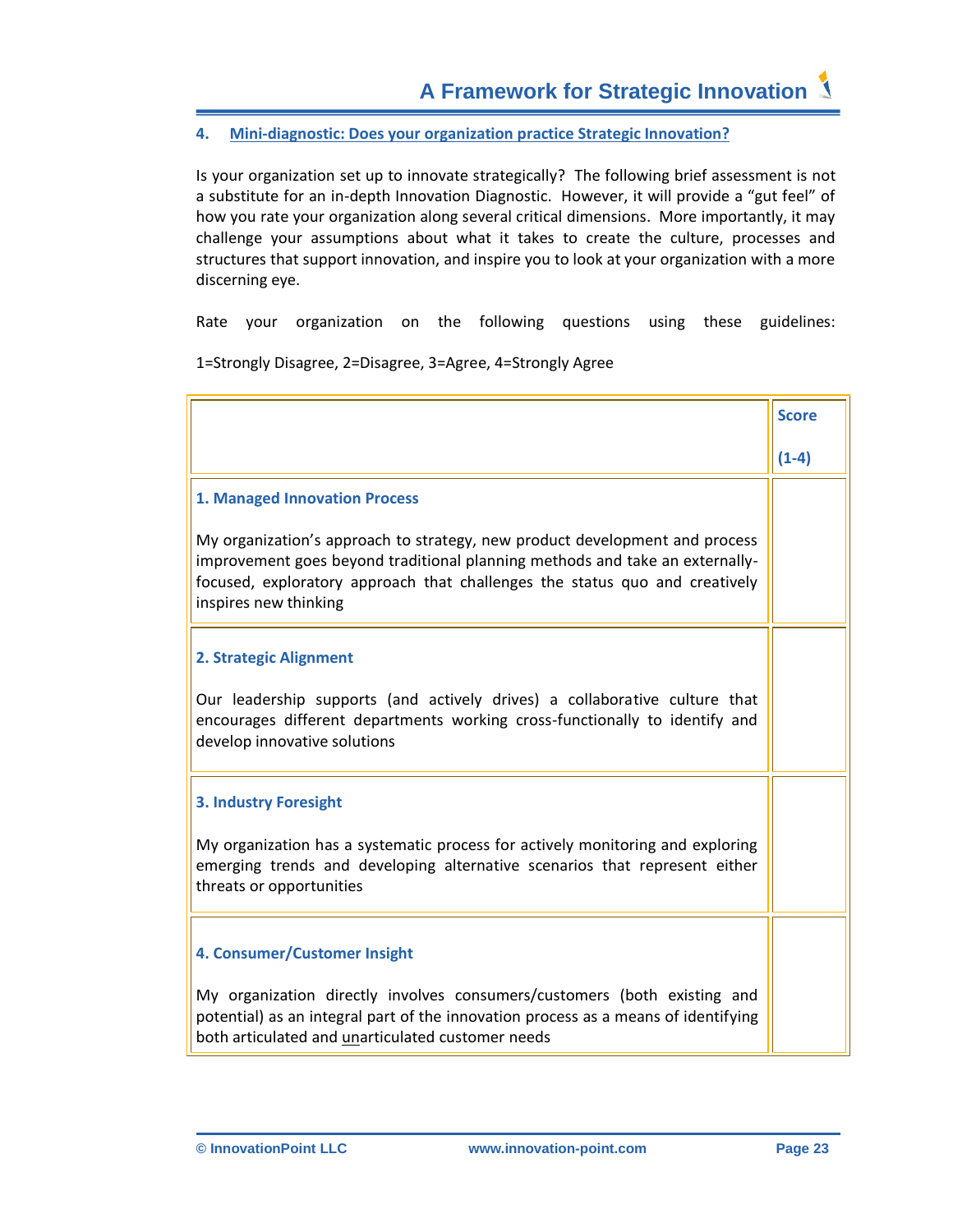#### **4. Mini-diagnostic: Does your organization practice Strategic Innovation?**

Is your organization set up to innovate strategically? The following brief assessment is not a substitute for an in-depth Innovation Diagnostic. However, it will provide a "gut feel" of how you rate your organization along several critical dimensions. More importantly, it may challenge your assumptions about what it takes to create the culture, processes and structures that support innovation, and inspire you to look at your organization with a more discerning eye.

Rate your organization on the following questions using these guidelines:

1=Strongly Disagree, 2=Disagree, 3=Agree, 4=Strongly Agree

|                                                                                                                                                                                                                                                                     | <b>Score</b> |
|---------------------------------------------------------------------------------------------------------------------------------------------------------------------------------------------------------------------------------------------------------------------|--------------|
|                                                                                                                                                                                                                                                                     | $(1-4)$      |
| <b>1. Managed Innovation Process</b>                                                                                                                                                                                                                                |              |
| My organization's approach to strategy, new product development and process<br>improvement goes beyond traditional planning methods and take an externally-<br>focused, exploratory approach that challenges the status quo and creatively<br>inspires new thinking |              |
| 2. Strategic Alignment                                                                                                                                                                                                                                              |              |
| Our leadership supports (and actively drives) a collaborative culture that<br>encourages different departments working cross-functionally to identify and<br>develop innovative solutions                                                                           |              |
| <b>3. Industry Foresight</b>                                                                                                                                                                                                                                        |              |
| My organization has a systematic process for actively monitoring and exploring<br>emerging trends and developing alternative scenarios that represent either<br>threats or opportunities                                                                            |              |
| 4. Consumer/Customer Insight                                                                                                                                                                                                                                        |              |
| My organization directly involves consumers/customers (both existing and<br>potential) as an integral part of the innovation process as a means of identifying<br>both articulated and <i>unarticulated</i> customer needs                                          |              |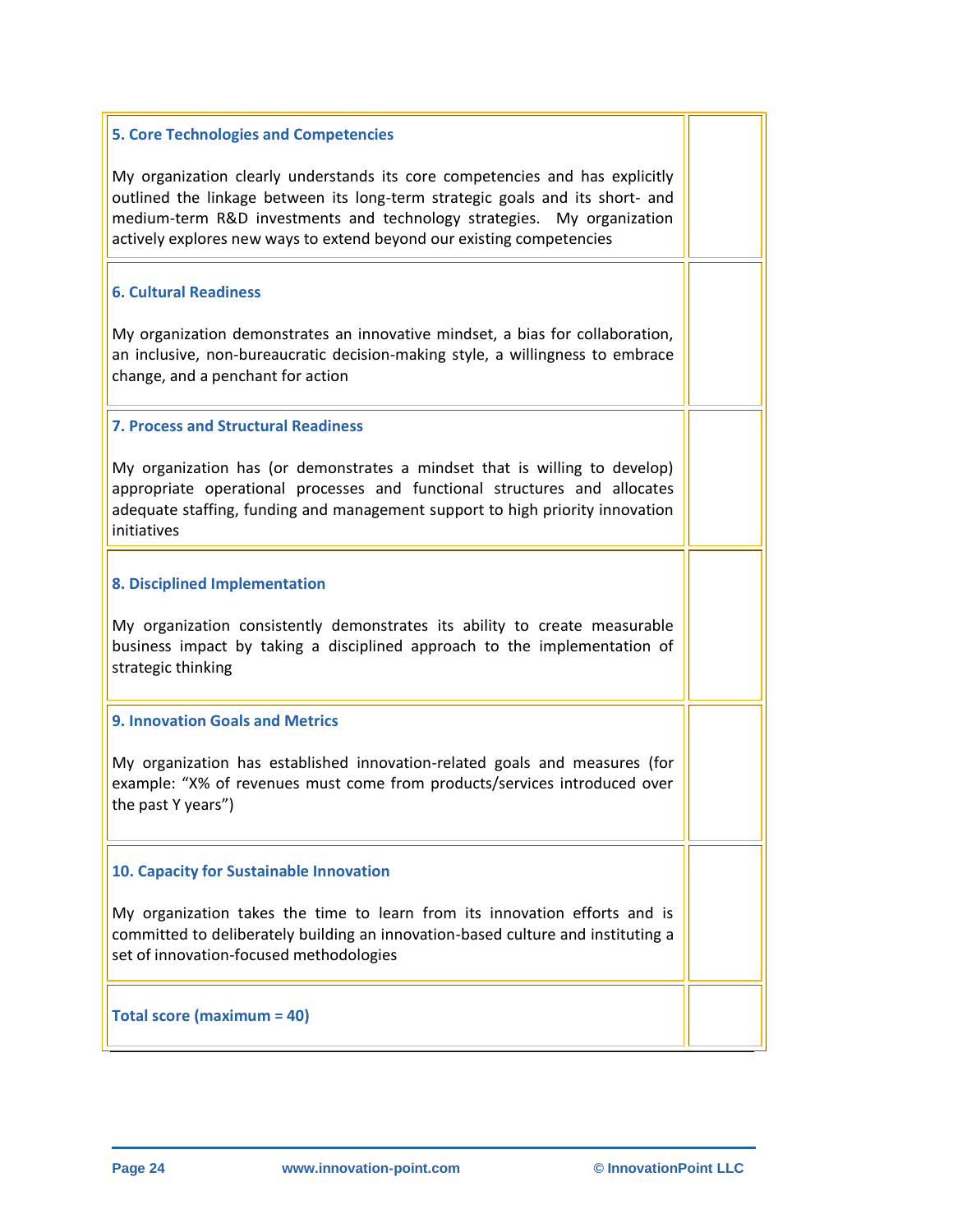| <b>5. Core Technologies and Competencies</b>                                                                                                                                                                                                                                                                     |  |  |
|------------------------------------------------------------------------------------------------------------------------------------------------------------------------------------------------------------------------------------------------------------------------------------------------------------------|--|--|
| My organization clearly understands its core competencies and has explicitly<br>outlined the linkage between its long-term strategic goals and its short- and<br>medium-term R&D investments and technology strategies. My organization<br>actively explores new ways to extend beyond our existing competencies |  |  |
| <b>6. Cultural Readiness</b>                                                                                                                                                                                                                                                                                     |  |  |
| My organization demonstrates an innovative mindset, a bias for collaboration,<br>an inclusive, non-bureaucratic decision-making style, a willingness to embrace<br>change, and a penchant for action                                                                                                             |  |  |
| <b>7. Process and Structural Readiness</b>                                                                                                                                                                                                                                                                       |  |  |
| My organization has (or demonstrates a mindset that is willing to develop)<br>appropriate operational processes and functional structures and allocates<br>adequate staffing, funding and management support to high priority innovation<br>initiatives                                                          |  |  |
| <b>8. Disciplined Implementation</b>                                                                                                                                                                                                                                                                             |  |  |
| My organization consistently demonstrates its ability to create measurable<br>business impact by taking a disciplined approach to the implementation of<br>strategic thinking                                                                                                                                    |  |  |
| <b>9. Innovation Goals and Metrics</b>                                                                                                                                                                                                                                                                           |  |  |
| My organization has established innovation-related goals and measures (for<br>example: "X% of revenues must come from products/services introduced over<br>the past Y years")                                                                                                                                    |  |  |
| 10. Capacity for Sustainable Innovation                                                                                                                                                                                                                                                                          |  |  |
| My organization takes the time to learn from its innovation efforts and is<br>committed to deliberately building an innovation-based culture and instituting a<br>set of innovation-focused methodologies                                                                                                        |  |  |
| Total score (maximum = 40)                                                                                                                                                                                                                                                                                       |  |  |